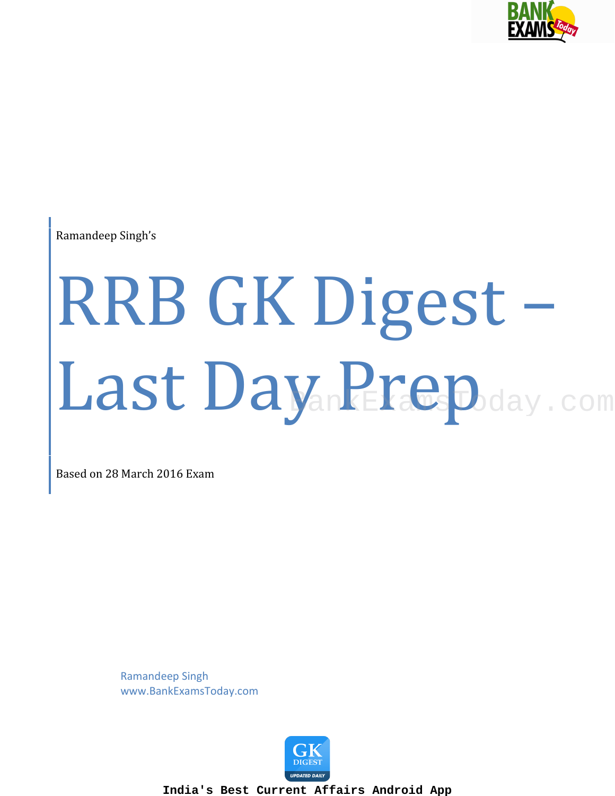

Ramandeep Singh's

# RRB GK Digest – Last Day. Prepday.com MankEraws Woday.com

Based on 28 March 2016 Exam

Ramandeep Singh www.BankExamsToday.com

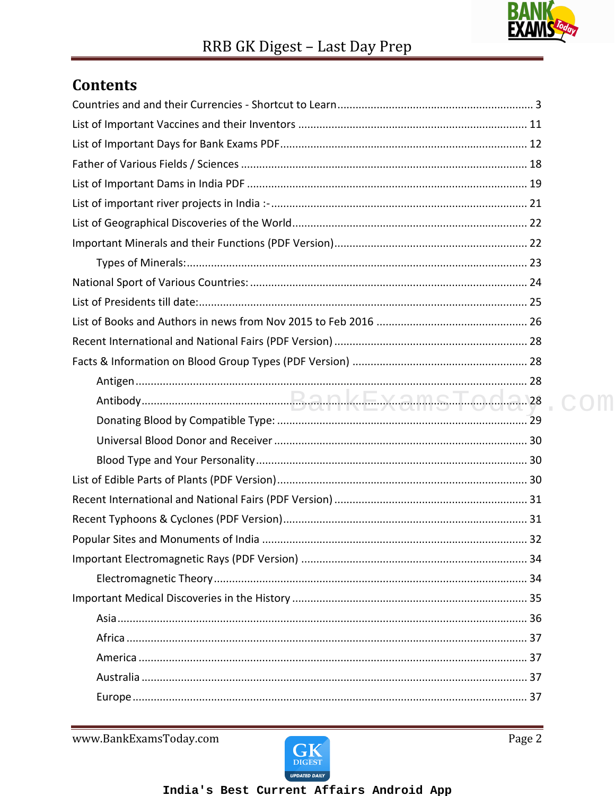

 $\cap$ m

### **Contents**

www.BankExamsToday.com

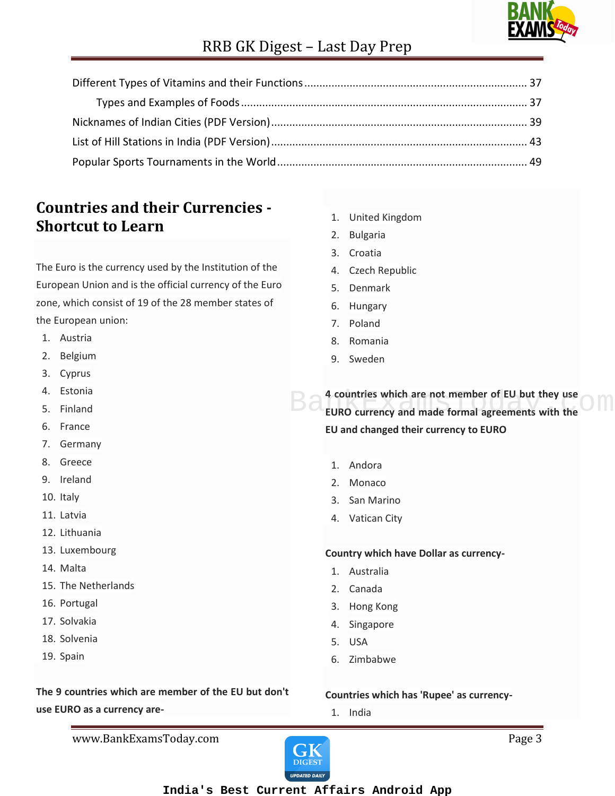

### **Countries and their Currencies - Shortcut to Learn**

The Euro is the currency used by the Institution of the European Union and is the official currency of the Euro zone, which consist of 19 of the 28 member states of the European union:

- 1. Austria
- 2. Belgium
- 3. Cyprus
- 4. Estonia
- 5. Finland
- 6. France
- 7. Germany
- 8. Greece
- 9. Ireland
- 10. Italy
- 11. Latvia
- 12. Lithuania
- 13. Luxembourg
- 14. Malta
- 15. The Netherlands
- 16. Portugal
- 17. Solvakia
- 18. Solvenia
- 19. Spain

#### **The 9 countries which are member of the EU but don't use EURO as a currency are-**

- 1. United Kingdom
- 2. Bulgaria
- 3. Croatia
- 4. Czech Republic
- 5. Denmark
- 6. Hungary
- 7. Poland
- 8. Romania
- 9. Sweden

**4 countries which are not member of EU but they use EURO currency and made formal agreements with the CM EU and changed their currency to EURO**

- 1. Andora
- 2. Monaco
- 3. San Marino
- 4. Vatican City

#### **Country which have Dollar as currency-**

- 1. Australia
- 2. Canada
- 3. Hong Kong
- 4. Singapore
- 5. USA
- 6. Zimbabwe

#### **Countries which has 'Rupee' as currency-**

1. India

www.BankExamsToday.com **Page 3** 

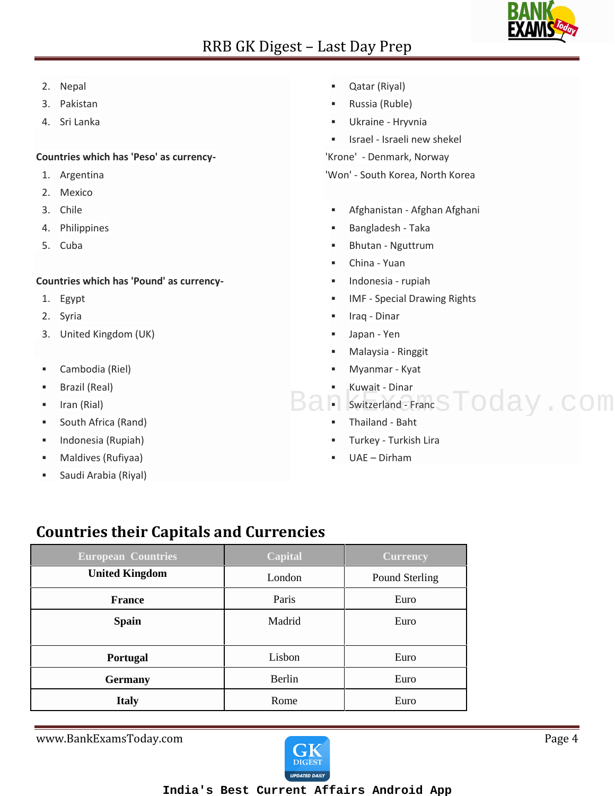

- 2. Nepal
- 3. Pakistan
- 4. Sri Lanka

#### **Countries which has 'Peso' as currency-**

- 1. Argentina
- 2. Mexico
- 3. Chile
- 4. Philippines
- 5. Cuba

#### **Countries which has 'Pound' as currency-**

- 1. Egypt
- 2. Syria
- 3. United Kingdom (UK)
- Cambodia (Riel)
- Brazil (Real)
- **I** Iran (Rial)
- **South Africa (Rand)**
- Indonesia (Rupiah)
- Maldives (Rufiyaa)
- Saudi Arabia (Riyal)
- Qatar (Riyal)
- Russia (Ruble)
- Ukraine Hryvnia
- **In Italya Israeli new shekel**

'Krone' - Denmark, Norway

'Won' - South Korea, North Korea

- Afghanistan Afghan Afghani
- Bangladesh Taka
- Bhutan Nguttrum
- China Yuan
- Indonesia rupiah
- IMF Special Drawing Rights
- Iraq Dinar
- Japan Yen
- Malaysia Ringgit
- Myanmar Kyat
- Kuwait Dinar
- Ban Switzerland Franc S Today.com
	- Thailand Baht
	- Turkey Turkish Lira
	- UAE Dirham

### **Countries their Capitals and Currencies**

| <b>European Countries</b> | <b>Capital</b> | <b>Currency</b> |
|---------------------------|----------------|-----------------|
| <b>United Kingdom</b>     | London         | Pound Sterling  |
| <b>France</b>             | Paris          | Euro            |
| <b>Spain</b>              | Madrid         | Euro            |
|                           |                |                 |
| <b>Portugal</b>           | Lisbon         | Euro            |
| <b>Germany</b>            | Berlin         | Euro            |
| <b>Italy</b>              | Rome           | Euro            |

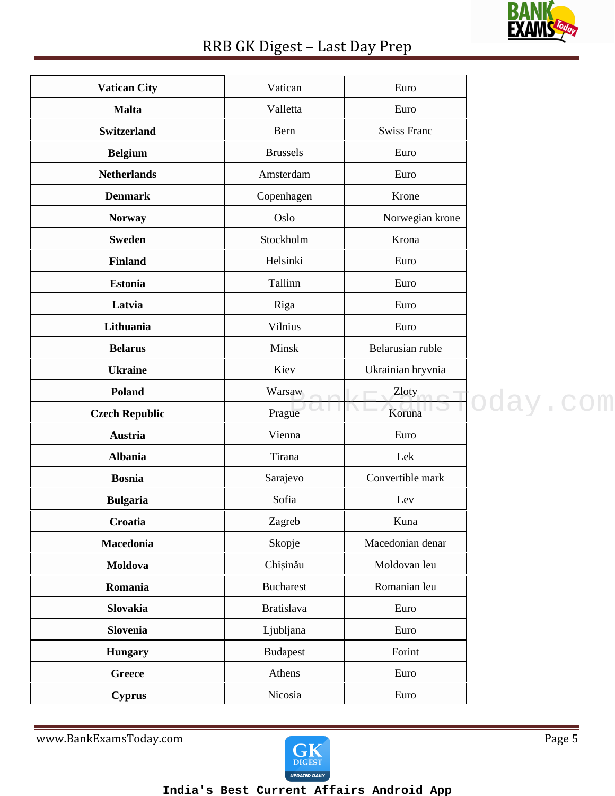

| <b>Vatican City</b>   | Vatican           | Euro               |          |
|-----------------------|-------------------|--------------------|----------|
| <b>Malta</b>          | Valletta          | Euro               |          |
| <b>Switzerland</b>    | Bern              | <b>Swiss Franc</b> |          |
| <b>Belgium</b>        | <b>Brussels</b>   | Euro               |          |
| <b>Netherlands</b>    | Amsterdam         | Euro               |          |
| <b>Denmark</b>        | Copenhagen        | Krone              |          |
| <b>Norway</b>         | Oslo              | Norwegian krone    |          |
| <b>Sweden</b>         | Stockholm         | Krona              |          |
| <b>Finland</b>        | Helsinki          | Euro               |          |
| <b>Estonia</b>        | Tallinn           | Euro               |          |
| Latvia                | Riga              | Euro               |          |
| Lithuania             | Vilnius           | Euro               |          |
| <b>Belarus</b>        | Minsk             | Belarusian ruble   |          |
| <b>Ukraine</b>        | Kiev              | Ukrainian hryvnia  |          |
| <b>Poland</b>         | Warsaw            | Zloty              |          |
| <b>Czech Republic</b> | Prague            | Koruna             | oday.com |
| <b>Austria</b>        | Vienna            | Euro               |          |
| <b>Albania</b>        | Tirana            | Lek                |          |
| <b>Bosnia</b>         | Sarajevo          | Convertible mark   |          |
| <b>Bulgaria</b>       | Sofia             | Lev                |          |
| Croatia               | Zagreb            | Kuna               |          |
| Macedonia             | Skopje            | Macedonian denar   |          |
| Moldova               | Chi in u          | Moldovan leu       |          |
| Romania               | <b>Bucharest</b>  | Romanian leu       |          |
| Slovakia              | <b>Bratislava</b> | Euro               |          |
| Slovenia              | Ljubljana         | Euro               |          |
| <b>Hungary</b>        | <b>Budapest</b>   | Forint             |          |
| <b>Greece</b>         | Athens            | Euro               |          |
| <b>Cyprus</b>         | Nicosia           | Euro               |          |

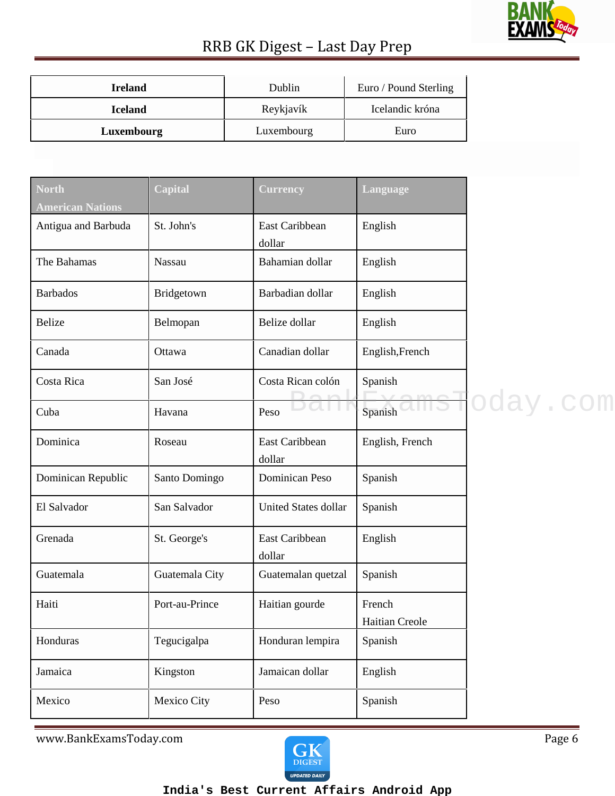

| <b>Ireland</b> | Dublin     | Euro / Pound Sterling |
|----------------|------------|-----------------------|
| <b>Iceland</b> | Reykjavík  | Icelandic króna       |
| Luxembourg     | Luxembourg | Euro                  |

| <b>North</b><br><b>American Nations</b> | Capital        | <b>Currency</b>             | Language                 |          |
|-----------------------------------------|----------------|-----------------------------|--------------------------|----------|
| Antigua and Barbuda                     | St. John's     | East Caribbean<br>dollar    | English                  |          |
| The Bahamas                             | Nassau         | Bahamian dollar             | English                  |          |
| <b>Barbados</b>                         | Bridgetown     | Barbadian dollar            | English                  |          |
| <b>Belize</b>                           | Belmopan       | Belize dollar               | English                  |          |
| Canada                                  | Ottawa         | Canadian dollar             | English, French          |          |
| Costa Rica                              | San José       | Costa Rican colón           | Spanish                  |          |
| Cuba                                    | Havana         | Peso                        | Spanish                  | oday.com |
| Dominica                                | Roseau         | East Caribbean<br>dollar    | English, French          |          |
| Dominican Republic                      | Santo Domingo  | Dominican Peso              | Spanish                  |          |
| El Salvador                             | San Salvador   | <b>United States dollar</b> | Spanish                  |          |
| Grenada                                 | St. George's   | East Caribbean<br>dollar    | English                  |          |
| Guatemala                               | Guatemala City | Guatemalan quetzal          | Spanish                  |          |
| Haiti                                   | Port-au-Prince | Haitian gourde              | French<br>Haitian Creole |          |
| Honduras                                | Tegucigalpa    | Honduran lempira            | Spanish                  |          |
| Jamaica                                 | Kingston       | Jamaican dollar             | English                  |          |
| Mexico                                  | Mexico City    | Peso                        | Spanish                  |          |

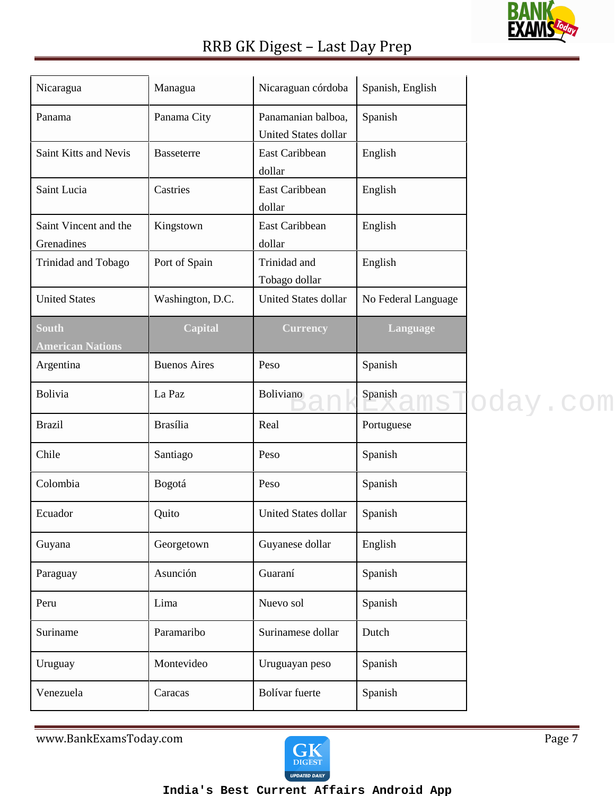

| Nicaragua                               | Managua             | Nicaraguan córdoba                         | Spanish, English    |                     |
|-----------------------------------------|---------------------|--------------------------------------------|---------------------|---------------------|
| Panama                                  | Panama City         | Panamanian balboa,<br>United States dollar | Spanish             |                     |
| Saint Kitts and Nevis                   | <b>Basseterre</b>   | East Caribbean<br>dollar                   | English             |                     |
| Saint Lucia                             | Castries            | East Caribbean<br>dollar                   | English             |                     |
| Saint Vincent and the<br>Grenadines     | Kingstown           | East Caribbean<br>dollar                   | English             |                     |
| Trinidad and Tobago                     | Port of Spain       | Trinidad and<br>Tobago dollar              | English             |                     |
| <b>United States</b>                    | Washington, D.C.    | <b>United States dollar</b>                | No Federal Language |                     |
| <b>South</b><br><b>American Nations</b> | Capital             | <b>Currency</b>                            | Language            |                     |
| Argentina                               | <b>Buenos Aires</b> | Peso                                       | Spanish             |                     |
| Bolivia                                 | La Paz              | Boliviano                                  | Spanish             | <u>nsT</u> oday.com |
| <b>Brazil</b>                           | <b>Brasília</b>     | Real                                       | Portuguese          |                     |
| Chile                                   | Santiago            | Peso                                       | Spanish             |                     |
| Colombia                                | Bogotá              | Peso                                       | Spanish             |                     |
| Ecuador                                 | Quito               | United States dollar                       | Spanish             |                     |
| Guyana                                  | Georgetown          | Guyanese dollar                            | English             |                     |
| Paraguay                                | Asunción            | Guaraní                                    | Spanish             |                     |
| Peru                                    | Lima                | Nuevo sol                                  | Spanish             |                     |
| Suriname                                | Paramaribo          | Surinamese dollar                          | Dutch               |                     |
| Uruguay                                 | Montevideo          | Uruguayan peso                             | Spanish             |                     |
| Venezuela                               | Caracas             | Bolívar fuerte                             | Spanish             |                     |

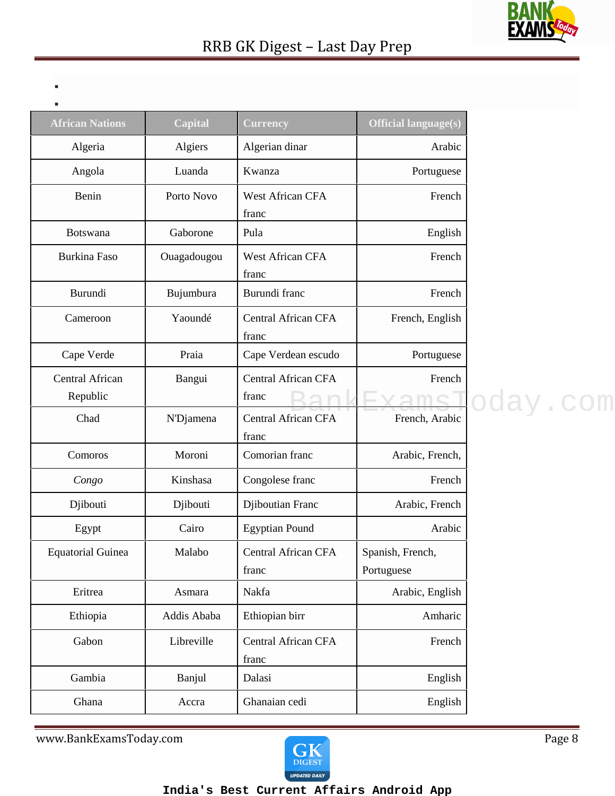

| - |  |  |  |
|---|--|--|--|
|   |  |  |  |
|   |  |  |  |
|   |  |  |  |

| ٠                           |                |                                     |                                |
|-----------------------------|----------------|-------------------------------------|--------------------------------|
| <b>African Nations</b>      | <b>Capital</b> | <b>Currency</b>                     | <b>Official language(s)</b>    |
| Algeria                     | Algiers        | Algerian dinar                      | Arabic                         |
| Angola                      | Luanda         | Kwanza                              | Portuguese                     |
| Benin                       | Porto Novo     | West African CFA<br>franc           | French                         |
| Botswana                    | Gaborone       | Pula                                | English                        |
| Burkina Faso                | Ouagadougou    | West African CFA<br>franc           | French                         |
| Burundi                     | Bujumbura      | Burundi franc                       | French                         |
| Cameroon                    | Yaoundé        | <b>Central African CFA</b><br>franc | French, English                |
| Cape Verde                  | Praia          | Cape Verdean escudo                 | Portuguese                     |
| Central African<br>Republic | Bangui         | <b>Central African CFA</b><br>franc | French                         |
| Chad                        | N'Djamena      | Central African CFA<br>franc        | French, Arabic                 |
| Comoros                     | Moroni         | Comorian franc                      | Arabic, French,                |
| Congo                       | Kinshasa       | Congolese franc                     | French                         |
| Djibouti                    | Djibouti       | Djiboutian Franc                    | Arabic, French                 |
| Egypt                       | Cairo          | <b>Egyptian Pound</b>               | Arabic                         |
| <b>Equatorial Guinea</b>    | Malabo         | Central African CFA<br>franc        | Spanish, French,<br>Portuguese |
| Eritrea                     | Asmara         | Nakfa                               | Arabic, English                |
| Ethiopia                    | Addis Ababa    | Ethiopian birr                      | Amharic                        |
| Gabon                       | Libreville     | Central African CFA<br>franc        | French                         |
| Gambia                      | Banjul         | Dalasi                              | English                        |
| Ghana                       | Accra          | Ghanaian cedi                       | English                        |

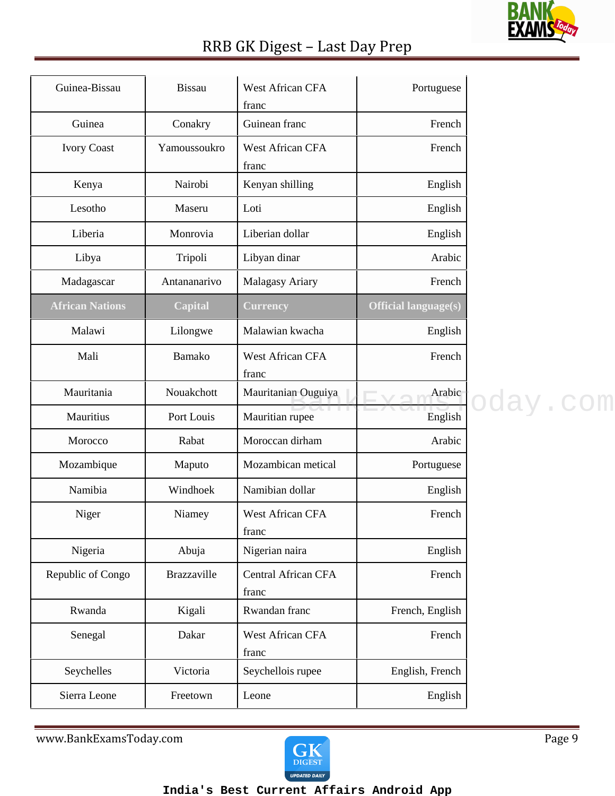### **BANK** <u>EX/</u>

### RRB GK Digest – Last Day Prep

| Guinean franc<br>Guinea<br>Conakry                                                         | French              |
|--------------------------------------------------------------------------------------------|---------------------|
|                                                                                            |                     |
| <b>West African CFA</b><br><b>Ivory Coast</b><br>Yamoussoukro<br>franc                     | French              |
| Nairobi<br>Kenyan shilling<br>Kenya                                                        | English             |
| Lesotho<br>Loti<br>Maseru                                                                  | English             |
| Liberian dollar<br>Liberia<br>Monrovia                                                     | English             |
| Libyan dinar<br>Libya<br>Tripoli                                                           | Arabic              |
| Malagasy Ariary<br>Madagascar<br>Antananarivo                                              | French              |
| <b>African Nations</b><br><b>Official language(s)</b><br><b>Capital</b><br><b>Currency</b> |                     |
| Malawian kwacha<br>Malawi<br>Lilongwe                                                      | English             |
| Mali<br>Bamako<br>West African CFA<br>franc                                                | French              |
| Mauritania<br>Nouakchott<br>Mauritanian Ouguiya                                            | Arabic              |
| Mauritian rupee<br>Mauritius<br>Port Louis                                                 | oday.com<br>English |
| Moroccan dirham<br>Rabat<br>Morocco                                                        | Arabic              |
| Mozambique<br>Mozambican metical<br>Maputo                                                 | Portuguese          |
| Namibia<br>Namibian dollar<br>Windhoek                                                     | English             |
| Niger<br>West African CFA<br>Niamey<br>franc                                               | French              |
| Nigeria<br>Nigerian naira<br>Abuja                                                         | English             |
| <b>Central African CFA</b><br>Republic of Congo<br><b>Brazzaville</b><br>franc             | French              |
| Rwanda<br>Rwandan franc<br>Kigali                                                          | French, English     |
| <b>West African CFA</b><br>Senegal<br>Dakar<br>franc                                       | French              |
| Seychelles<br>Victoria<br>Seychellois rupee                                                | English, French     |
| Sierra Leone<br>Freetown<br>Leone                                                          | English             |

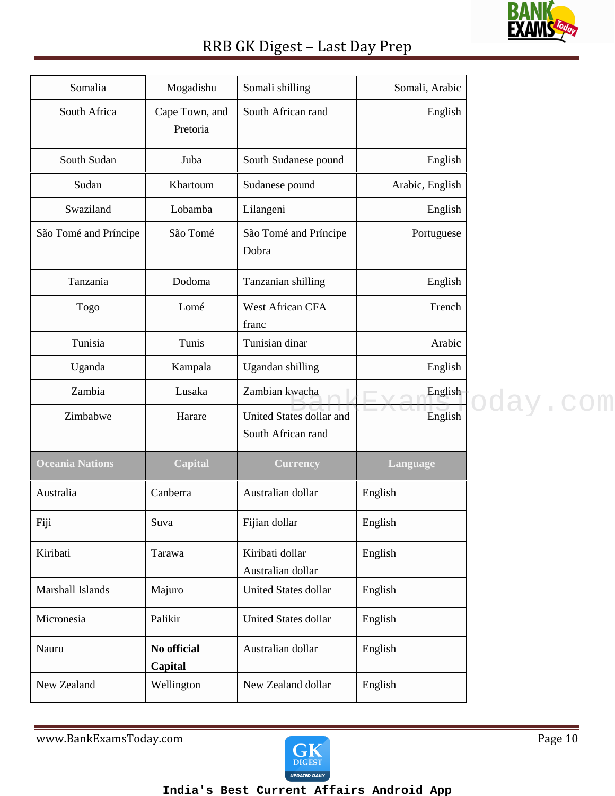

| Somalia               | Mogadishu                  | Somali shilling                                | Somali, Arabic  |          |
|-----------------------|----------------------------|------------------------------------------------|-----------------|----------|
| South Africa          | Cape Town, and<br>Pretoria | South African rand                             | English         |          |
| South Sudan           | Juba                       | South Sudanese pound                           | English         |          |
| Sudan                 | Khartoum                   | Sudanese pound                                 | Arabic, English |          |
| Swaziland             | Lobamba                    | Lilangeni                                      | English         |          |
| São Tomé and Príncipe | São Tomé                   | São Tomé and Príncipe<br>Dobra                 | Portuguese      |          |
| Tanzania              | Dodoma                     | Tanzanian shilling                             | English         |          |
| Togo                  | Lomé                       | West African CFA<br>franc                      | French          |          |
| Tunisia               | Tunis                      | Tunisian dinar                                 | Arabic          |          |
| Uganda                | Kampala                    | Ugandan shilling                               | English         |          |
| Zambia                | Lusaka                     | Zambian kwacha                                 | English         | oday.com |
| Zimbabwe              | Harare                     | United States dollar and<br>South African rand | English         |          |
| Oceania Nations       | <b>Capital</b>             | <b>Currency</b>                                | Language        |          |
| Australia             | Canberra                   | Australian dollar                              | English         |          |
| Fiji                  | Suva                       | Fijian dollar                                  | English         |          |
| Kiribati              | Tarawa                     | Kiribati dollar<br>Australian dollar           | English         |          |
| Marshall Islands      | Majuro                     | United States dollar                           | English         |          |
| Micronesia            | Palikir                    | United States dollar                           | English         |          |
| Nauru                 | No official<br>Capital     | Australian dollar                              | English         |          |
| New Zealand           | Wellington                 | New Zealand dollar                             | English         |          |

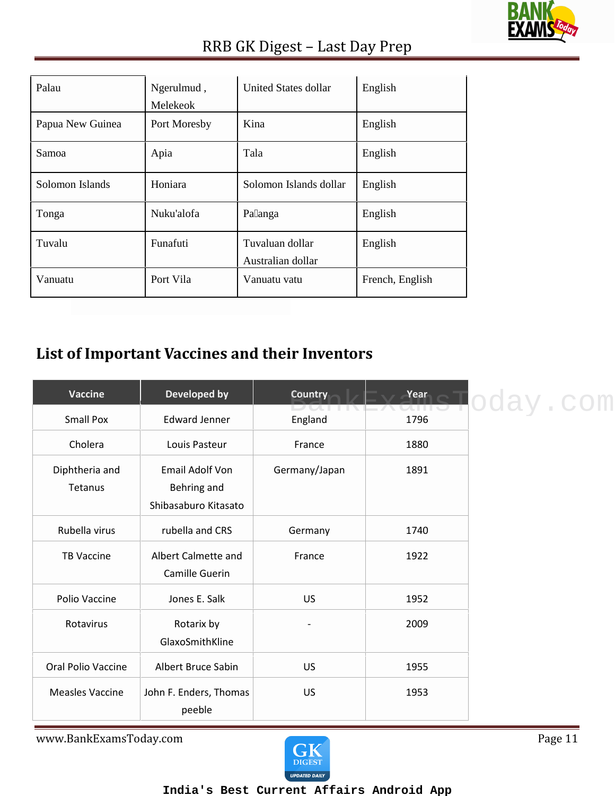

| Palau            | Ngerulmud,<br>Melekeok | United States dollar                 | English         |
|------------------|------------------------|--------------------------------------|-----------------|
| Papua New Guinea | Port Moresby           | Kina                                 | English         |
| Samoa            | Apia                   | Tala                                 | English         |
| Solomon Islands  | Honiara                | Solomon Islands dollar               | English         |
| Tonga            | Nuku'alofa             | Pa anga                              | English         |
| Tuvalu           | Funafuti               | Tuvaluan dollar<br>Australian dollar | English         |
| Vanuatu          | Port Vila              | Vanuatu vatu                         | French, English |

### **List of Important Vaccines and their Inventors**

| Vaccine                   | Developed by                                                  | <b>Country</b>          | Year | oday.com |
|---------------------------|---------------------------------------------------------------|-------------------------|------|----------|
| <b>Small Pox</b>          | <b>Edward Jenner</b>                                          | 20 J.J. J.J.<br>England | 1796 |          |
| Cholera                   | Louis Pasteur                                                 | France                  | 1880 |          |
| Diphtheria and<br>Tetanus | <b>Email Adolf Von</b><br>Behring and<br>Shibasaburo Kitasato | Germany/Japan           | 1891 |          |
| Rubella virus             | rubella and CRS                                               | Germany                 | 1740 |          |
| <b>TB Vaccine</b>         | Albert Calmette and<br>Camille Guerin                         | France                  | 1922 |          |
| Polio Vaccine             | Jones E. Salk                                                 | <b>US</b>               | 1952 |          |
| Rotavirus                 | Rotarix by<br>GlaxoSmithKline                                 |                         | 2009 |          |
| Oral Polio Vaccine        | Albert Bruce Sabin                                            | <b>US</b>               | 1955 |          |
| <b>Measles Vaccine</b>    | John F. Enders, Thomas<br>peeble                              | <b>US</b>               | 1953 |          |

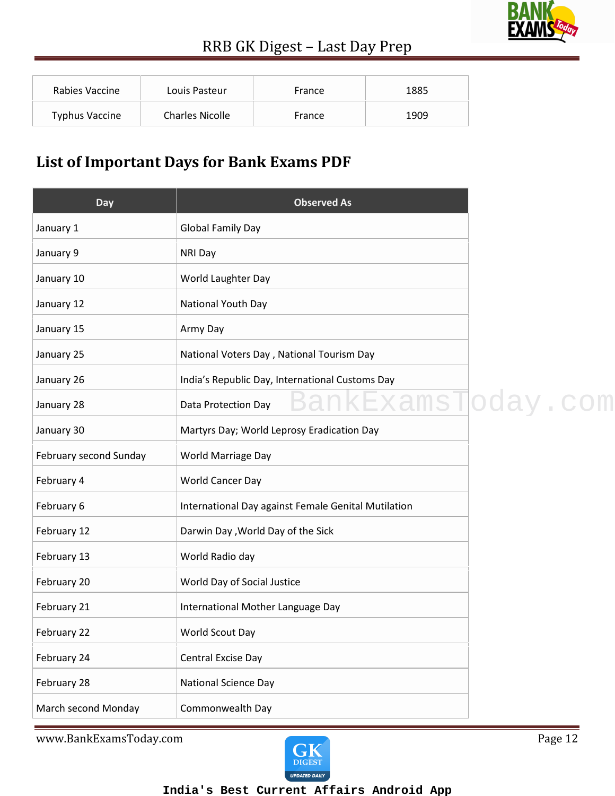

| Rabies Vaccine        | Louis Pasteur          | France | 1885 |
|-----------------------|------------------------|--------|------|
| <b>Typhus Vaccine</b> | <b>Charles Nicolle</b> | France | 1909 |

### **List of Important Days for Bank Exams PDF**

| Day                    | <b>Observed As</b>                                  |          |
|------------------------|-----------------------------------------------------|----------|
| January 1              | <b>Global Family Day</b>                            |          |
| January 9              | <b>NRI Day</b>                                      |          |
| January 10             | World Laughter Day                                  |          |
| January 12             | National Youth Day                                  |          |
| January 15             | Army Day                                            |          |
| January 25             | National Voters Day, National Tourism Day           |          |
| January 26             | India's Republic Day, International Customs Day     |          |
| January 28             | <u>cExamsT</u><br>Data Protection Day               | oday.com |
| January 30             | Martyrs Day; World Leprosy Eradication Day          |          |
| February second Sunday | World Marriage Day                                  |          |
| February 4             | World Cancer Day                                    |          |
| February 6             | International Day against Female Genital Mutilation |          |
| February 12            | Darwin Day, World Day of the Sick                   |          |
| February 13            | World Radio day                                     |          |
| February 20            | World Day of Social Justice                         |          |
| February 21            | International Mother Language Day                   |          |
| February 22            | World Scout Day                                     |          |
| February 24            | Central Excise Day                                  |          |
| February 28            | <b>National Science Day</b>                         |          |
| March second Monday    | Commonwealth Day                                    |          |

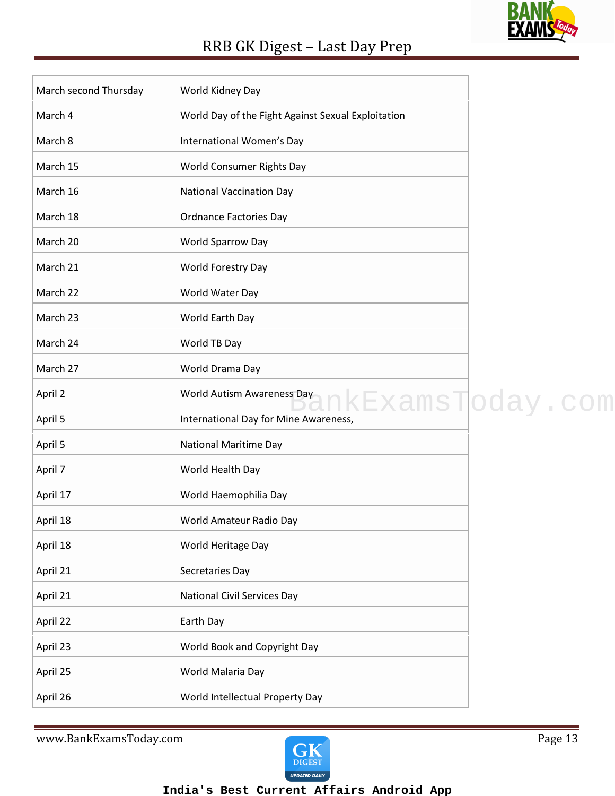

| March second Thursday | World Kidney Day                                   |                  |
|-----------------------|----------------------------------------------------|------------------|
| March 4               | World Day of the Fight Against Sexual Exploitation |                  |
| March 8               | International Women's Day                          |                  |
| March 15              | World Consumer Rights Day                          |                  |
| March 16              | <b>National Vaccination Day</b>                    |                  |
| March 18              | <b>Ordnance Factories Day</b>                      |                  |
| March 20              | World Sparrow Day                                  |                  |
| March 21              | World Forestry Day                                 |                  |
| March 22              | World Water Day                                    |                  |
| March 23              | World Earth Day                                    |                  |
| March 24              | World TB Day                                       |                  |
| March 27              | World Drama Day                                    |                  |
| April 2               | World Autism Awareness Day                         | nkExamsToday.com |
| April 5               | International Day for Mine Awareness,              |                  |
| April 5               | <b>National Maritime Day</b>                       |                  |
| April 7               | World Health Day                                   |                  |
| April 17              | World Haemophilia Day                              |                  |
| April 18              | World Amateur Radio Day                            |                  |
| April 18              | World Heritage Day                                 |                  |
| April 21              | Secretaries Day                                    |                  |
| April 21              | <b>National Civil Services Day</b>                 |                  |
| April 22              | Earth Day                                          |                  |
| April 23              | World Book and Copyright Day                       |                  |
| April 25              | World Malaria Day                                  |                  |
| April 26              | World Intellectual Property Day                    |                  |

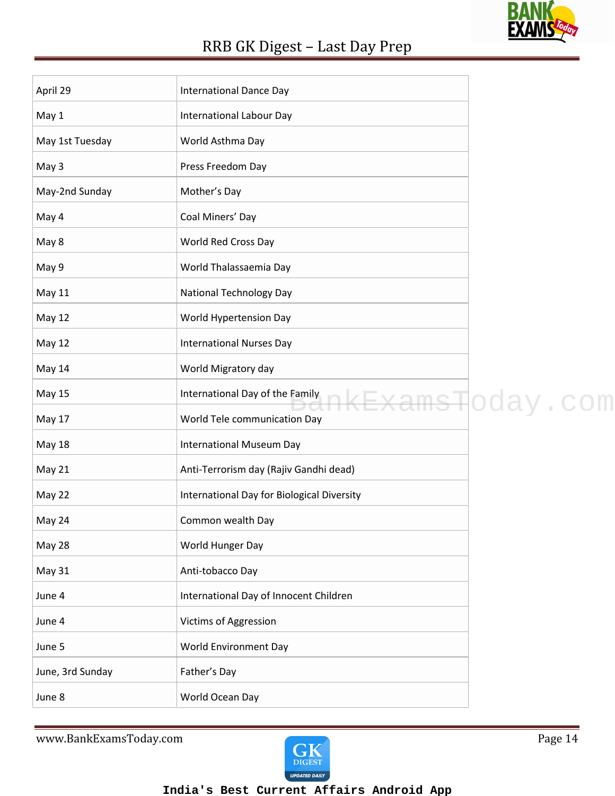

| April 29         | <b>International Dance Day</b>             |                            |
|------------------|--------------------------------------------|----------------------------|
| May 1            | International Labour Day                   |                            |
| May 1st Tuesday  | World Asthma Day                           |                            |
| May 3            | Press Freedom Day                          |                            |
| May-2nd Sunday   | Mother's Day                               |                            |
| May 4            | Coal Miners' Day                           |                            |
| May 8            | World Red Cross Day                        |                            |
| May 9            | World Thalassaemia Day                     |                            |
| May 11           | <b>National Technology Day</b>             |                            |
| <b>May 12</b>    | World Hypertension Day                     |                            |
| <b>May 12</b>    | <b>International Nurses Day</b>            |                            |
| May 14           | World Migratory day                        |                            |
| <b>May 15</b>    | International Day of the Family            | <del>ExamsT</del> oday.com |
| <b>May 17</b>    | World Tele communication Day               |                            |
| <b>May 18</b>    | International Museum Day                   |                            |
| May 21           | Anti-Terrorism day (Rajiv Gandhi dead)     |                            |
| May 22           | International Day for Biological Diversity |                            |
| May 24           | Common wealth Day                          |                            |
| May 28           | World Hunger Day                           |                            |
| May 31           | Anti-tobacco Day                           |                            |
| June 4           | International Day of Innocent Children     |                            |
| June 4           | Victims of Aggression                      |                            |
| June 5           | World Environment Day                      |                            |
| June, 3rd Sunday | Father's Day                               |                            |
| June 8           | World Ocean Day                            |                            |

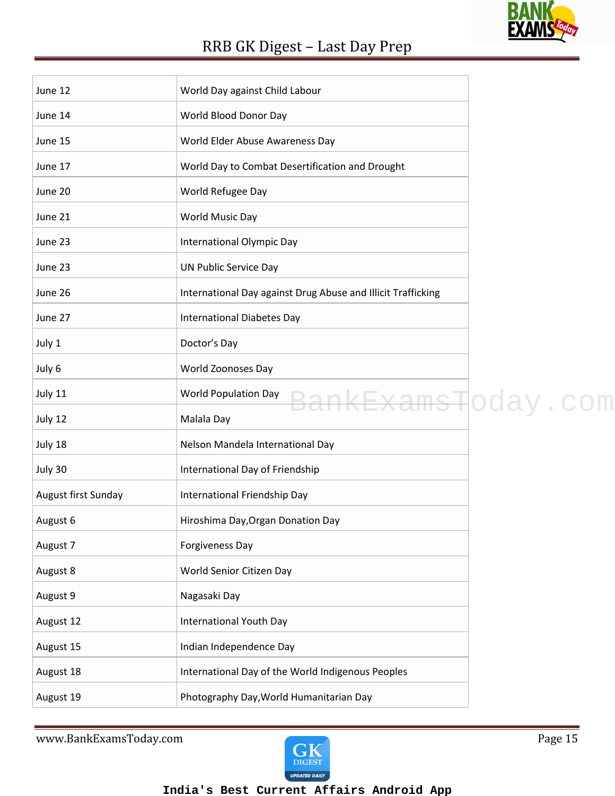| June 12             | World Day against Child Labour                               |  |
|---------------------|--------------------------------------------------------------|--|
| June 14             | World Blood Donor Day                                        |  |
| June 15             | World Elder Abuse Awareness Day                              |  |
| June 17             | World Day to Combat Desertification and Drought              |  |
| June 20             | World Refugee Day                                            |  |
| June 21             | World Music Day                                              |  |
| June 23             | International Olympic Day                                    |  |
| June 23             | UN Public Service Day                                        |  |
| June 26             | International Day against Drug Abuse and Illicit Trafficking |  |
| June 27             | <b>International Diabetes Day</b>                            |  |
| July 1              | Doctor's Day                                                 |  |
| July 6              | World Zoonoses Day                                           |  |
| July 11             | World Population Day<br>BankExamsHoday.com                   |  |
| July 12             | Malala Day                                                   |  |
| July 18             | Nelson Mandela International Day                             |  |
| July 30             | International Day of Friendship                              |  |
| August first Sunday | International Friendship Day                                 |  |
| August 6            | Hiroshima Day, Organ Donation Day                            |  |
| August 7            | <b>Forgiveness Day</b>                                       |  |
| August 8            | World Senior Citizen Day                                     |  |
| August 9            | Nagasaki Day                                                 |  |
| August 12           | <b>International Youth Day</b>                               |  |
| August 15           | Indian Independence Day                                      |  |
| August 18           | International Day of the World Indigenous Peoples            |  |
| August 19           | Photography Day, World Humanitarian Day                      |  |

www.BankExamsToday.com Page 15



**BANK** 

<u>EXA</u>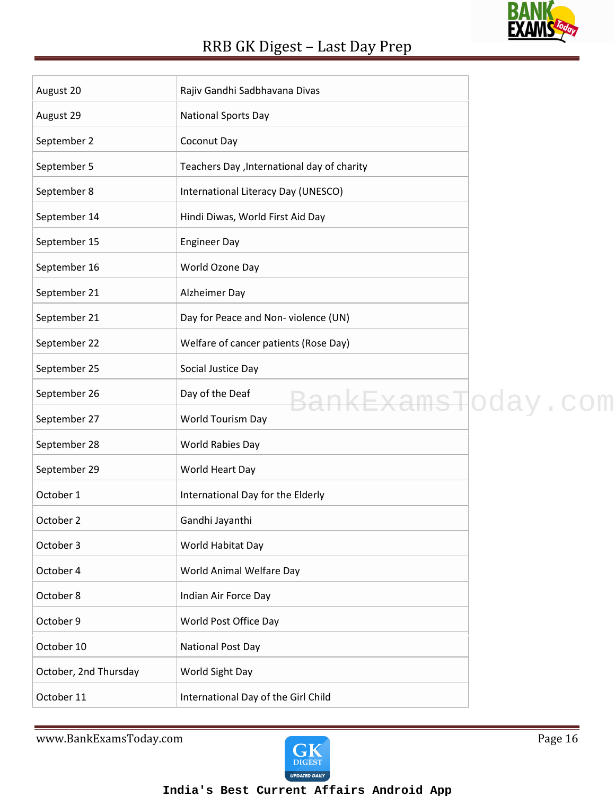### **BANK** <u>EXAMS</u>

### RRB GK Digest – Last Day Prep

| August 20             | Rajiv Gandhi Sadbhavana Divas               |  |
|-----------------------|---------------------------------------------|--|
| August 29             | <b>National Sports Day</b>                  |  |
| September 2           | Coconut Day                                 |  |
| September 5           | Teachers Day , International day of charity |  |
| September 8           | International Literacy Day (UNESCO)         |  |
| September 14          | Hindi Diwas, World First Aid Day            |  |
| September 15          | <b>Engineer Day</b>                         |  |
| September 16          | World Ozone Day                             |  |
| September 21          | Alzheimer Day                               |  |
| September 21          | Day for Peace and Non-violence (UN)         |  |
| September 22          | Welfare of cancer patients (Rose Day)       |  |
| September 25          | Social Justice Day                          |  |
| September 26          | Day of the Deaf<br>BankExamsToday.com       |  |
| September 27          | World Tourism Day                           |  |
| September 28          | World Rabies Day                            |  |
| September 29          | World Heart Day                             |  |
| October 1             | International Day for the Elderly           |  |
| October 2             | Gandhi Jayanthi                             |  |
| October 3             | World Habitat Day                           |  |
| October 4             | World Animal Welfare Day                    |  |
| October 8             | Indian Air Force Day                        |  |
| October 9             | World Post Office Day                       |  |
| October 10            | <b>National Post Day</b>                    |  |
| October, 2nd Thursday | World Sight Day                             |  |
| October 11            | International Day of the Girl Child         |  |

www.BankExamsToday.com Page 16

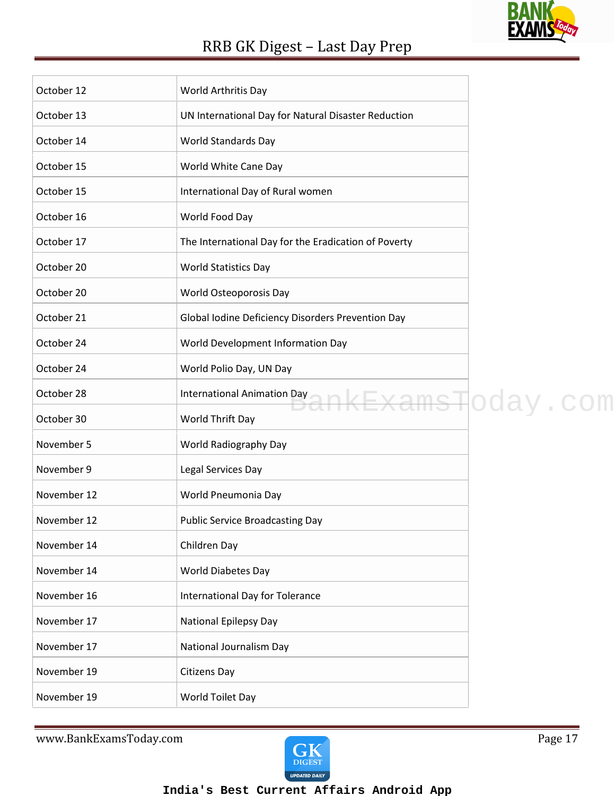### **BANK** <u>EXAMS</u>

### RRB GK Digest – Last Day Prep

| October 12  | World Arthritis Day                                  |
|-------------|------------------------------------------------------|
| October 13  | UN International Day for Natural Disaster Reduction  |
| October 14  | World Standards Day                                  |
| October 15  | World White Cane Day                                 |
| October 15  | International Day of Rural women                     |
| October 16  | World Food Day                                       |
| October 17  | The International Day for the Eradication of Poverty |
| October 20  | <b>World Statistics Day</b>                          |
| October 20  | World Osteoporosis Day                               |
| October 21  | Global Iodine Deficiency Disorders Prevention Day    |
| October 24  | World Development Information Day                    |
| October 24  | World Polio Day, UN Day                              |
| October 28  | International Animation Day<br>nkExamsToday.com      |
| October 30  | World Thrift Day                                     |
| November 5  | World Radiography Day                                |
| November 9  | Legal Services Day                                   |
| November 12 | World Pneumonia Day                                  |
| November 12 | <b>Public Service Broadcasting Day</b>               |
| November 14 | Children Day                                         |
| November 14 | World Diabetes Day                                   |
| November 16 | International Day for Tolerance                      |
| November 17 | <b>National Epilepsy Day</b>                         |
| November 17 | National Journalism Day                              |
| November 19 | Citizens Day                                         |
| November 19 | World Toilet Day                                     |
|             |                                                      |

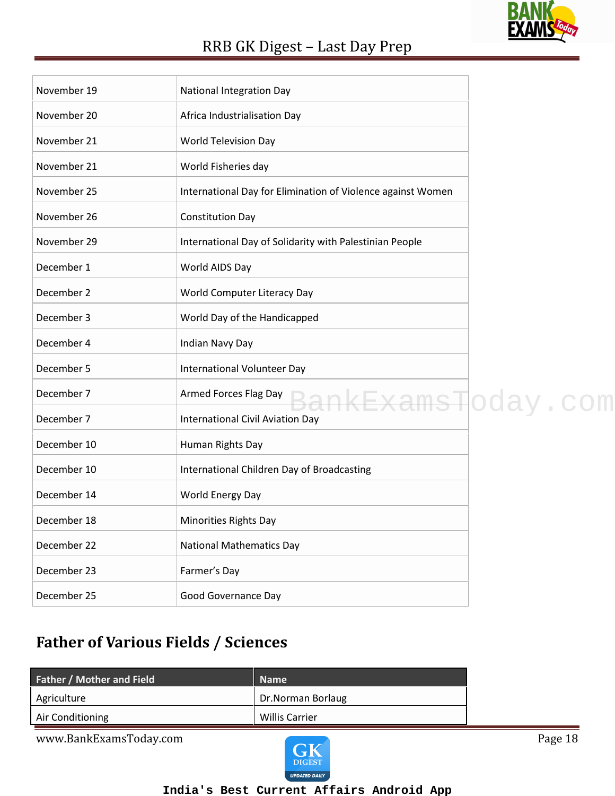# **BAN**

### RRB GK Digest – Last Day Prep

| November 19 | <b>National Integration Day</b>                             |  |
|-------------|-------------------------------------------------------------|--|
| November 20 | Africa Industrialisation Day                                |  |
| November 21 | World Television Day                                        |  |
| November 21 | World Fisheries day                                         |  |
| November 25 | International Day for Elimination of Violence against Women |  |
| November 26 | <b>Constitution Day</b>                                     |  |
| November 29 | International Day of Solidarity with Palestinian People     |  |
| December 1  | World AIDS Day                                              |  |
| December 2  | World Computer Literacy Day                                 |  |
| December 3  | World Day of the Handicapped                                |  |
| December 4  | Indian Navy Day                                             |  |
| December 5  | International Volunteer Day                                 |  |
| December 7  | Armed Forces Flag Day<br>ankExamsToday.com                  |  |
| December 7  | <b>International Civil Aviation Day</b>                     |  |
| December 10 | Human Rights Day                                            |  |
| December 10 | International Children Day of Broadcasting                  |  |
| December 14 | World Energy Day                                            |  |
| December 18 | Minorities Rights Day                                       |  |
| December 22 | <b>National Mathematics Day</b>                             |  |
| December 23 | Farmer's Day                                                |  |
| December 25 | <b>Good Governance Day</b>                                  |  |

### **Father of Various Fields / Sciences**

| <b>Father / Mother and Field</b> | <b>Name</b>           |
|----------------------------------|-----------------------|
| Agriculture                      | Dr.Norman Borlaug     |
| Air Conditioning                 | <b>Willis Carrier</b> |

www.BankExamsToday.com Page 18

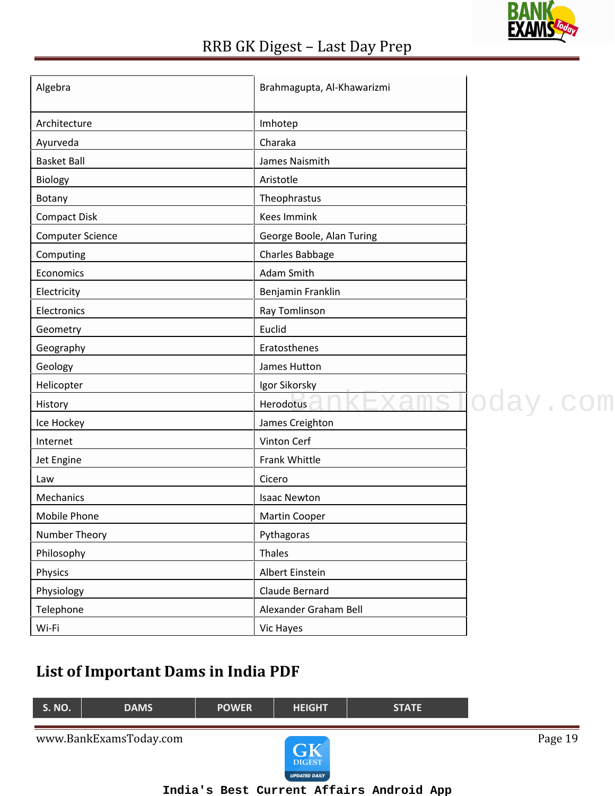

| Algebra                 | Brahmagupta, Al-Khawarizmi |          |
|-------------------------|----------------------------|----------|
| Architecture            | Imhotep                    |          |
| Ayurveda                | Charaka                    |          |
| <b>Basket Ball</b>      | James Naismith             |          |
| Biology                 | Aristotle                  |          |
| Botany                  | Theophrastus               |          |
| <b>Compact Disk</b>     | <b>Kees Immink</b>         |          |
| <b>Computer Science</b> | George Boole, Alan Turing  |          |
| Computing               | Charles Babbage            |          |
| Economics               | Adam Smith                 |          |
| Electricity             | Benjamin Franklin          |          |
| Electronics             | Ray Tomlinson              |          |
| Geometry                | Euclid                     |          |
| Geography               | Eratosthenes               |          |
| Geology                 | James Hutton               |          |
| Helicopter              | Igor Sikorsky              |          |
| History                 | Herodotus                  | oday.com |
| Ice Hockey              | James Creighton            |          |
| Internet                | Vinton Cerf                |          |
| Jet Engine              | Frank Whittle              |          |
| Law                     | Cicero                     |          |
| Mechanics               | <b>Isaac Newton</b>        |          |
| <b>Mobile Phone</b>     | <b>Martin Cooper</b>       |          |
| Number Theory           | Pythagoras                 |          |
| Philosophy              | Thales                     |          |
| Physics                 | Albert Einstein            |          |
| Physiology              | Claude Bernard             |          |
| Telephone               | Alexander Graham Bell      |          |
| Wi-Fi                   | Vic Hayes                  |          |

### **List of Important Dams in India PDF**

| <b>POWER</b> | <b>HEIGHT</b>                     | <b>STATE</b> |         |
|--------------|-----------------------------------|--------------|---------|
|              | $\sqrt{1}$<br>GN<br><b>DIGEST</b> |              | Page 19 |
|              |                                   |              |         |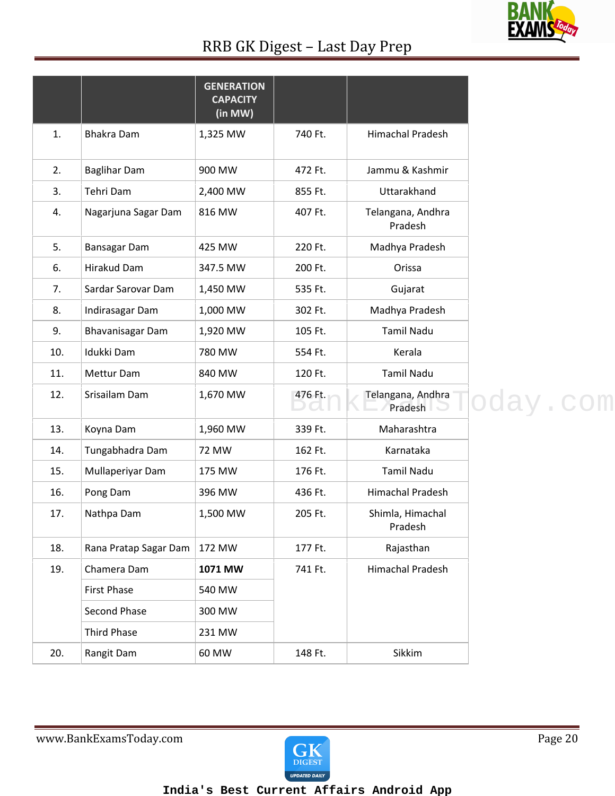### **BANK** <u>EX</u>

### RRB GK Digest – Last Day Prep

|     |                       | <b>GENERATION</b><br><b>CAPACITY</b><br>(in MW) |         |                              |
|-----|-----------------------|-------------------------------------------------|---------|------------------------------|
| 1.  | <b>Bhakra Dam</b>     | 1,325 MW                                        | 740 Ft. | <b>Himachal Pradesh</b>      |
| 2.  | <b>Baglihar Dam</b>   | 900 MW                                          | 472 Ft. | Jammu & Kashmir              |
| 3.  | Tehri Dam             | 2,400 MW                                        | 855 Ft. | Uttarakhand                  |
| 4.  | Nagarjuna Sagar Dam   | 816 MW                                          | 407 Ft. | Telangana, Andhra<br>Pradesh |
| 5.  | <b>Bansagar Dam</b>   | 425 MW                                          | 220 Ft. | Madhya Pradesh               |
| 6.  | Hirakud Dam           | 347.5 MW                                        | 200 Ft. | Orissa                       |
| 7.  | Sardar Sarovar Dam    | 1,450 MW                                        | 535 Ft. | Gujarat                      |
| 8.  | Indirasagar Dam       | 1,000 MW                                        | 302 Ft. | Madhya Pradesh               |
| 9.  | Bhavanisagar Dam      | 1,920 MW                                        | 105 Ft. | <b>Tamil Nadu</b>            |
| 10. | Idukki Dam            | 780 MW                                          | 554 Ft. | Kerala                       |
| 11. | Mettur Dam            | 840 MW                                          | 120 Ft. | <b>Tamil Nadu</b>            |
| 12. | Srisailam Dam         | 1,670 MW                                        | 476 Ft. | Telangana, Andhra<br>Pradesh |
| 13. | Koyna Dam             | 1,960 MW                                        | 339 Ft. | Maharashtra                  |
| 14. | Tungabhadra Dam       | <b>72 MW</b>                                    | 162 Ft. | Karnataka                    |
| 15. | Mullaperiyar Dam      | 175 MW                                          | 176 Ft. | <b>Tamil Nadu</b>            |
| 16. | Pong Dam              | 396 MW                                          | 436 Ft. | <b>Himachal Pradesh</b>      |
| 17. | Nathpa Dam            | 1,500 MW                                        | 205 Ft. | Shimla, Himachal<br>Pradesh  |
| 18. | Rana Pratap Sagar Dam | 172 MW                                          | 177 Ft. | Rajasthan                    |
| 19. | Chamera Dam           | 1071 MW                                         | 741 Ft. | Himachal Pradesh             |
|     | <b>First Phase</b>    | 540 MW                                          |         |                              |
|     | Second Phase          | 300 MW                                          |         |                              |
|     | <b>Third Phase</b>    | 231 MW                                          |         |                              |
| 20. | Rangit Dam            | 60 MW                                           | 148 Ft. | Sikkim                       |

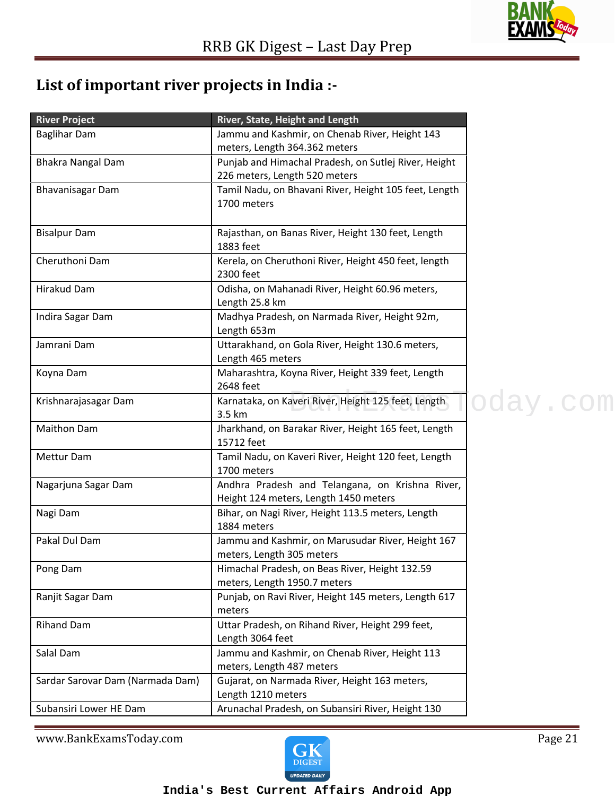

### **List of important river projects in India :-**

| <b>River Project</b>             | River, State, Height and Length                                                          |          |
|----------------------------------|------------------------------------------------------------------------------------------|----------|
| <b>Baglihar Dam</b>              | Jammu and Kashmir, on Chenab River, Height 143                                           |          |
|                                  | meters, Length 364.362 meters                                                            |          |
| <b>Bhakra Nangal Dam</b>         | Punjab and Himachal Pradesh, on Sutlej River, Height                                     |          |
|                                  | 226 meters, Length 520 meters                                                            |          |
| <b>Bhavanisagar Dam</b>          | Tamil Nadu, on Bhavani River, Height 105 feet, Length<br>1700 meters                     |          |
| <b>Bisalpur Dam</b>              | Rajasthan, on Banas River, Height 130 feet, Length<br>1883 feet                          |          |
| Cheruthoni Dam                   | Kerela, on Cheruthoni River, Height 450 feet, length<br>2300 feet                        |          |
| Hirakud Dam                      | Odisha, on Mahanadi River, Height 60.96 meters,<br>Length 25.8 km                        |          |
| Indira Sagar Dam                 | Madhya Pradesh, on Narmada River, Height 92m,<br>Length 653m                             |          |
| Jamrani Dam                      | Uttarakhand, on Gola River, Height 130.6 meters,<br>Length 465 meters                    |          |
| Koyna Dam                        | Maharashtra, Koyna River, Height 339 feet, Length<br>2648 feet                           |          |
| Krishnarajasagar Dam             | Karnataka, on Kaveri River, Height 125 feet, Length<br>3.5 km                            | oday.com |
| <b>Maithon Dam</b>               | Jharkhand, on Barakar River, Height 165 feet, Length<br>15712 feet                       |          |
| Mettur Dam                       | Tamil Nadu, on Kaveri River, Height 120 feet, Length<br>1700 meters                      |          |
| Nagarjuna Sagar Dam              | Andhra Pradesh and Telangana, on Krishna River,<br>Height 124 meters, Length 1450 meters |          |
| Nagi Dam                         | Bihar, on Nagi River, Height 113.5 meters, Length<br>1884 meters                         |          |
| Pakal Dul Dam                    | Jammu and Kashmir, on Marusudar River, Height 167<br>meters, Length 305 meters           |          |
| Pong Dam                         | Himachal Pradesh, on Beas River, Height 132.59<br>meters, Length 1950.7 meters           |          |
| Ranjit Sagar Dam                 | Punjab, on Ravi River, Height 145 meters, Length 617<br>meters                           |          |
| <b>Rihand Dam</b>                | Uttar Pradesh, on Rihand River, Height 299 feet,<br>Length 3064 feet                     |          |
| Salal Dam                        | Jammu and Kashmir, on Chenab River, Height 113<br>meters, Length 487 meters              |          |
| Sardar Sarovar Dam (Narmada Dam) | Gujarat, on Narmada River, Height 163 meters,<br>Length 1210 meters                      |          |
| Subansiri Lower HE Dam           | Arunachal Pradesh, on Subansiri River, Height 130                                        |          |

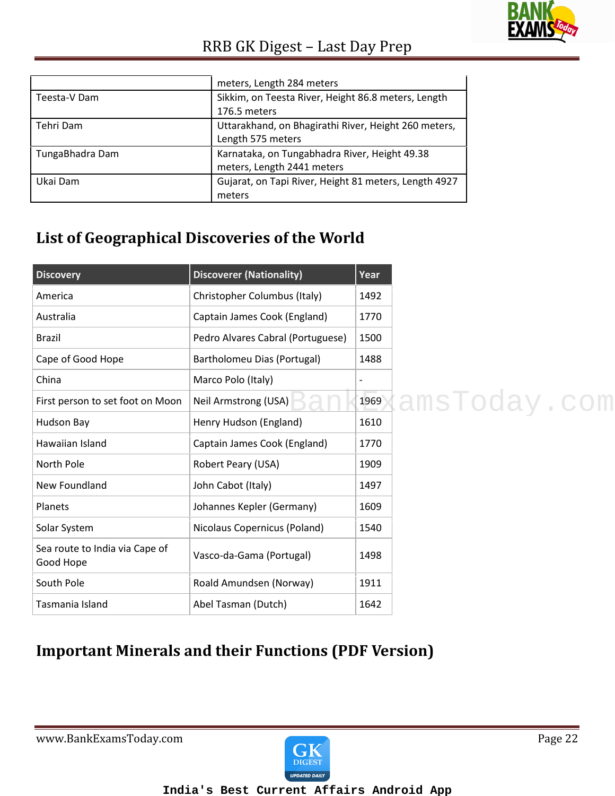

|                 | meters, Length 284 meters                             |
|-----------------|-------------------------------------------------------|
| Teesta-V Dam    | Sikkim, on Teesta River, Height 86.8 meters, Length   |
|                 | 176.5 meters                                          |
| Tehri Dam       | Uttarakhand, on Bhagirathi River, Height 260 meters,  |
|                 | Length 575 meters                                     |
| TungaBhadra Dam | Karnataka, on Tungabhadra River, Height 49.38         |
|                 | meters, Length 2441 meters                            |
| Ukai Dam        | Gujarat, on Tapi River, Height 81 meters, Length 4927 |
|                 | meters                                                |

### **List of Geographical Discoveries of the World**

| <b>Discovery</b>                            | <b>Discoverer (Nationality)</b>   | Year |
|---------------------------------------------|-----------------------------------|------|
| America                                     | Christopher Columbus (Italy)      | 1492 |
| Australia                                   | Captain James Cook (England)      | 1770 |
| Brazil                                      | Pedro Alvares Cabral (Portuguese) | 1500 |
| Cape of Good Hope                           | Bartholomeu Dias (Portugal)       | 1488 |
| China                                       | Marco Polo (Italy)                |      |
| First person to set foot on Moon            | Neil Armstrong (USA)              | 1969 |
| Hudson Bay                                  | Henry Hudson (England)            | 1610 |
| Hawaiian Island                             | Captain James Cook (England)      | 1770 |
| North Pole                                  | Robert Peary (USA)                | 1909 |
| New Foundland                               | John Cabot (Italy)                | 1497 |
| Planets                                     | Johannes Kepler (Germany)         | 1609 |
| Solar System                                | Nicolaus Copernicus (Poland)      | 1540 |
| Sea route to India via Cape of<br>Good Hope | Vasco-da-Gama (Portugal)          | 1498 |
| South Pole                                  | Roald Amundsen (Norway)           | 1911 |
| Tasmania Island                             | Abel Tasman (Dutch)               | 1642 |

### **Important Minerals and their Functions (PDF Version)**

www.BankExamsToday.com example and page 22

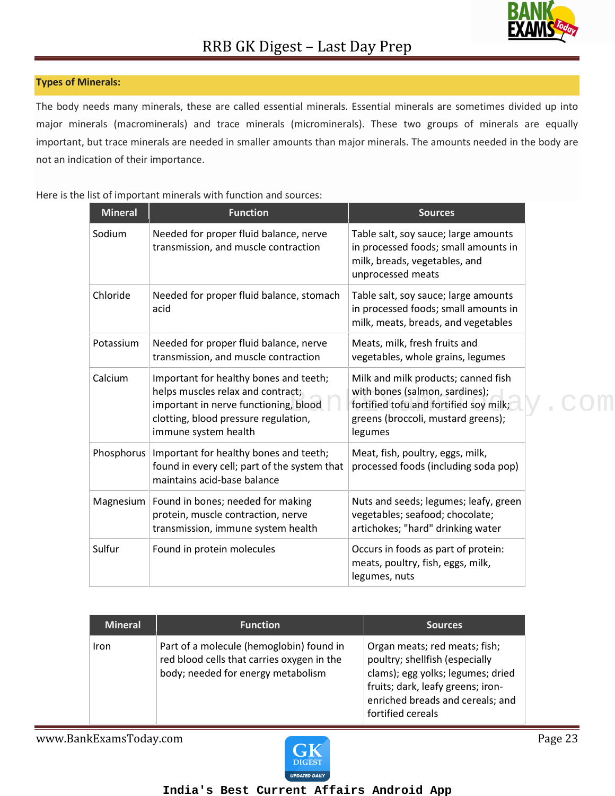#### **Types of Minerals:**

The body needs many minerals, these are called essential minerals. Essential minerals are sometimes divided up into major minerals (macrominerals) and trace minerals (microminerals). These two groups of minerals are equally important, but trace minerals are needed in smaller amounts than major minerals. The amounts needed in the body are not an indication of their importance.

| <b>Mineral</b> | <b>Function</b>                                                                                                                                                                      | <b>Sources</b>                                                                                                                                                   |  |
|----------------|--------------------------------------------------------------------------------------------------------------------------------------------------------------------------------------|------------------------------------------------------------------------------------------------------------------------------------------------------------------|--|
| Sodium         | Needed for proper fluid balance, nerve<br>transmission, and muscle contraction                                                                                                       | Table salt, soy sauce; large amounts<br>in processed foods; small amounts in<br>milk, breads, vegetables, and<br>unprocessed meats                               |  |
| Chloride       | Needed for proper fluid balance, stomach<br>acid                                                                                                                                     | Table salt, soy sauce; large amounts<br>in processed foods; small amounts in<br>milk, meats, breads, and vegetables                                              |  |
| Potassium      | Needed for proper fluid balance, nerve<br>transmission, and muscle contraction                                                                                                       | Meats, milk, fresh fruits and<br>vegetables, whole grains, legumes                                                                                               |  |
| Calcium        | Important for healthy bones and teeth;<br>helps muscles relax and contract;<br>important in nerve functioning, blood<br>clotting, blood pressure regulation,<br>immune system health | Milk and milk products; canned fish<br>with bones (salmon, sardines);<br>fortified tofu and fortified soy milk;<br>greens (broccoli, mustard greens);<br>legumes |  |
| Phosphorus     | Important for healthy bones and teeth;<br>found in every cell; part of the system that<br>maintains acid-base balance                                                                | Meat, fish, poultry, eggs, milk,<br>processed foods (including soda pop)                                                                                         |  |
| Magnesium      | Found in bones; needed for making<br>protein, muscle contraction, nerve<br>transmission, immune system health                                                                        | Nuts and seeds; legumes; leafy, green<br>vegetables; seafood; chocolate;<br>artichokes; "hard" drinking water                                                    |  |
| Sulfur         | Found in protein molecules                                                                                                                                                           | Occurs in foods as part of protein:<br>meats, poultry, fish, eggs, milk,<br>legumes, nuts                                                                        |  |

Here is the list of important minerals with function and sources:

| <b>Mineral</b> | <b>Function</b>                                                                                                              | <b>Sources</b>                                                                                                                                                                                     |
|----------------|------------------------------------------------------------------------------------------------------------------------------|----------------------------------------------------------------------------------------------------------------------------------------------------------------------------------------------------|
| Iron           | Part of a molecule (hemoglobin) found in<br>red blood cells that carries oxygen in the<br>body; needed for energy metabolism | Organ meats; red meats; fish;<br>poultry; shellfish (especially<br>clams); egg yolks; legumes; dried<br>fruits; dark, leafy greens; iron-<br>enriched breads and cereals; and<br>fortified cereals |

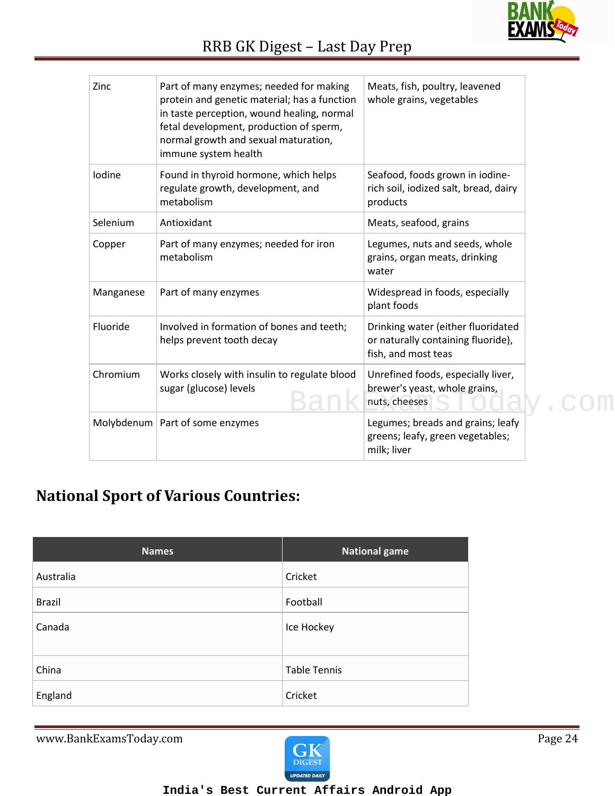

| Zinc      | Part of many enzymes; needed for making<br>protein and genetic material; has a function<br>in taste perception, wound healing, normal<br>fetal development, production of sperm,<br>normal growth and sexual maturation,<br>immune system health | Meats, fish, poultry, leavened<br>whole grains, vegetables                                      |
|-----------|--------------------------------------------------------------------------------------------------------------------------------------------------------------------------------------------------------------------------------------------------|-------------------------------------------------------------------------------------------------|
| Iodine    | Found in thyroid hormone, which helps<br>regulate growth, development, and<br>metabolism                                                                                                                                                         | Seafood, foods grown in iodine-<br>rich soil, iodized salt, bread, dairy<br>products            |
| Selenium  | Antioxidant                                                                                                                                                                                                                                      | Meats, seafood, grains                                                                          |
| Copper    | Part of many enzymes; needed for iron<br>metabolism                                                                                                                                                                                              | Legumes, nuts and seeds, whole<br>grains, organ meats, drinking<br>water                        |
| Manganese | Part of many enzymes                                                                                                                                                                                                                             | Widespread in foods, especially<br>plant foods                                                  |
| Fluoride  | Involved in formation of bones and teeth;<br>helps prevent tooth decay                                                                                                                                                                           | Drinking water (either fluoridated<br>or naturally containing fluoride),<br>fish, and most teas |
| Chromium  | Works closely with insulin to regulate blood<br>sugar (glucose) levels                                                                                                                                                                           | Unrefined foods, especially liver,<br>brewer's yeast, whole grains,<br>nuts, cheeses            |
|           | Molybdenum   Part of some enzymes                                                                                                                                                                                                                | Legumes; breads and grains; leafy<br>greens; leafy, green vegetables;<br>milk; liver            |

### **National Sport of Various Countries:**

| <b>Names</b>  | <b>National game</b> |
|---------------|----------------------|
| Australia     | Cricket              |
| <b>Brazil</b> | Football             |
| Canada        | Ice Hockey           |
| China         | <b>Table Tennis</b>  |
| England       | Cricket              |

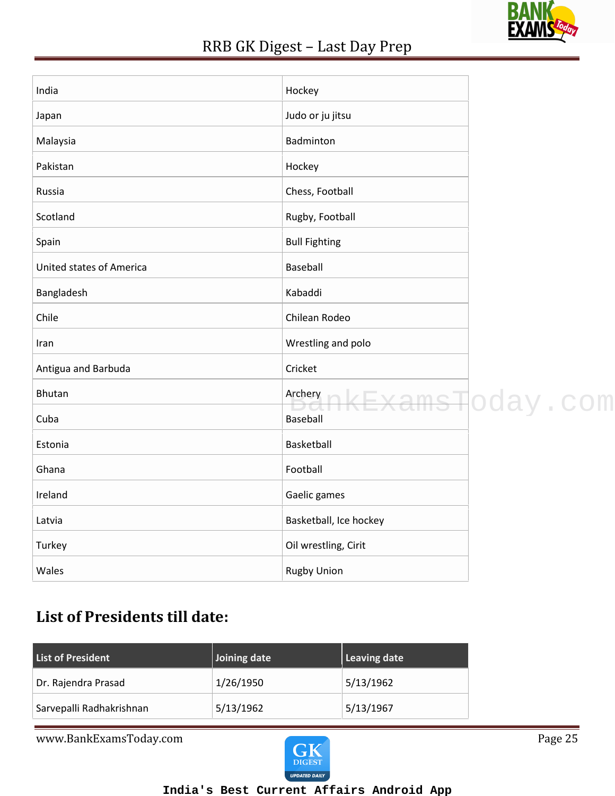

| India                    | Hockey                 |                             |
|--------------------------|------------------------|-----------------------------|
| Japan                    | Judo or ju jitsu       |                             |
| Malaysia                 | Badminton              |                             |
| Pakistan                 | Hockey                 |                             |
| Russia                   | Chess, Football        |                             |
| Scotland                 | Rugby, Football        |                             |
| Spain                    | <b>Bull Fighting</b>   |                             |
| United states of America | Baseball               |                             |
| Bangladesh               | Kabaddi                |                             |
| Chile                    | Chilean Rodeo          |                             |
| Iran                     | Wrestling and polo     |                             |
| Antigua and Barbuda      | Cricket                |                             |
| Bhutan                   | Archery                | <del>kExamsT</del> oday.com |
| Cuba                     | <b>Baseball</b>        |                             |
| Estonia                  | Basketball             |                             |
| Ghana                    | Football               |                             |
| Ireland                  | Gaelic games           |                             |
| Latvia                   | Basketball, Ice hockey |                             |
| Turkey                   | Oil wrestling, Cirit   |                             |
| Wales                    | <b>Rugby Union</b>     |                             |
|                          |                        |                             |

### **List of Presidents till date:**

| <b>List of President</b> | Joining date | Leaving date |
|--------------------------|--------------|--------------|
| Dr. Rajendra Prasad      | 1/26/1950    | 5/13/1962    |
| Sarvepalli Radhakrishnan | 5/13/1962    | 5/13/1967    |

www.BankExamsToday.com Page 25

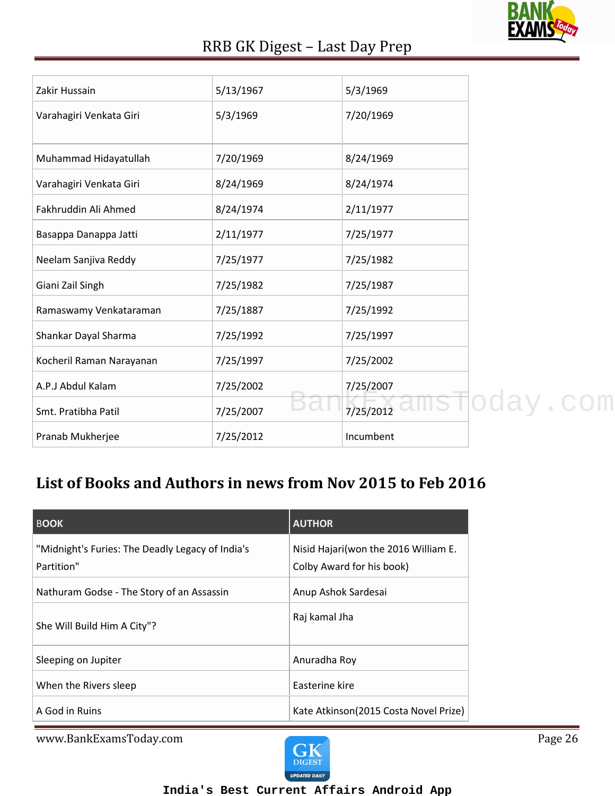

| Zakir Hussain            | 5/13/1967 | 5/3/1969  |
|--------------------------|-----------|-----------|
| Varahagiri Venkata Giri  | 5/3/1969  | 7/20/1969 |
|                          |           |           |
|                          |           |           |
| Muhammad Hidayatullah    | 7/20/1969 | 8/24/1969 |
| Varahagiri Venkata Giri  | 8/24/1969 | 8/24/1974 |
| Fakhruddin Ali Ahmed     | 8/24/1974 | 2/11/1977 |
|                          |           |           |
| Basappa Danappa Jatti    | 2/11/1977 | 7/25/1977 |
| Neelam Sanjiva Reddy     | 7/25/1977 | 7/25/1982 |
|                          |           |           |
| Giani Zail Singh         | 7/25/1982 | 7/25/1987 |
| Ramaswamy Venkataraman   | 7/25/1887 | 7/25/1992 |
| Shankar Dayal Sharma     | 7/25/1992 | 7/25/1997 |
|                          |           |           |
| Kocheril Raman Narayanan | 7/25/1997 | 7/25/2002 |
| A.P.J Abdul Kalam        | 7/25/2002 | 7/25/2007 |
|                          |           |           |
| Smt. Pratibha Patil      | 7/25/2007 | 7/25/2012 |
| Pranab Mukherjee         | 7/25/2012 | Incumbent |

### **List of Books and Authors in news from Nov 2015 to Feb 2016**

| <b>BOOK</b>                                                    | <b>AUTHOR</b>                                                      |
|----------------------------------------------------------------|--------------------------------------------------------------------|
| "Midnight's Furies: The Deadly Legacy of India's<br>Partition" | Nisid Hajari (won the 2016 William E.<br>Colby Award for his book) |
| Nathuram Godse - The Story of an Assassin                      | Anup Ashok Sardesai                                                |
| She Will Build Him A City"?                                    | Raj kamal Jha                                                      |
| Sleeping on Jupiter                                            | Anuradha Roy                                                       |
| When the Rivers sleep                                          | Easterine kire                                                     |
| A God in Ruins                                                 | Kate Atkinson(2015 Costa Novel Prize)                              |

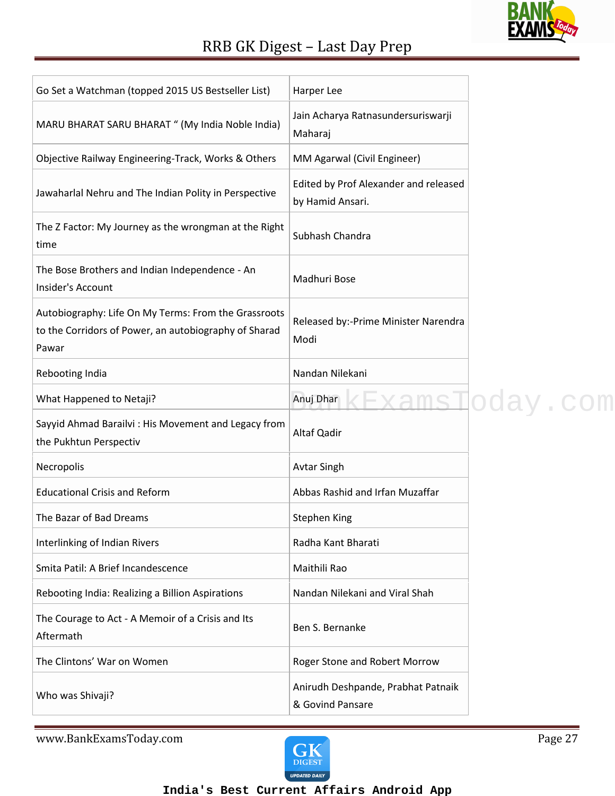| ΔΜ<br>O<br>N |
|--------------|
|              |

| Go Set a Watchman (topped 2015 US Bestseller List)                                                                     | Harper Lee                                                |            |
|------------------------------------------------------------------------------------------------------------------------|-----------------------------------------------------------|------------|
| MARU BHARAT SARU BHARAT " (My India Noble India)                                                                       | Jain Acharya Ratnasundersuriswarji<br>Maharaj             |            |
| Objective Railway Engineering-Track, Works & Others                                                                    | MM Agarwal (Civil Engineer)                               |            |
| Jawaharlal Nehru and The Indian Polity in Perspective                                                                  | Edited by Prof Alexander and released<br>by Hamid Ansari. |            |
| The Z Factor: My Journey as the wrongman at the Right<br>time                                                          | Subhash Chandra                                           |            |
| The Bose Brothers and Indian Independence - An<br>Insider's Account                                                    | Madhuri Bose                                              |            |
| Autobiography: Life On My Terms: From the Grassroots<br>to the Corridors of Power, an autobiography of Sharad<br>Pawar | Released by:-Prime Minister Narendra<br>Modi              |            |
| Rebooting India                                                                                                        | Nandan Nilekani                                           |            |
| What Happened to Netaji?                                                                                               | Anuj Dhar                                                 | sToday.com |
| Sayyid Ahmad Barailvi: His Movement and Legacy from<br>the Pukhtun Perspectiv                                          | Altaf Qadir                                               |            |
| Necropolis                                                                                                             | <b>Avtar Singh</b>                                        |            |
| <b>Educational Crisis and Reform</b>                                                                                   | Abbas Rashid and Irfan Muzaffar                           |            |
| The Bazar of Bad Dreams                                                                                                | <b>Stephen King</b>                                       |            |
| Interlinking of Indian Rivers                                                                                          | Radha Kant Bharati                                        |            |
| Smita Patil: A Brief Incandescence                                                                                     | Maithili Rao                                              |            |
| Rebooting India: Realizing a Billion Aspirations                                                                       | Nandan Nilekani and Viral Shah                            |            |
| The Courage to Act - A Memoir of a Crisis and Its<br>Aftermath                                                         | Ben S. Bernanke                                           |            |
| The Clintons' War on Women                                                                                             | Roger Stone and Robert Morrow                             |            |
| Who was Shivaji?                                                                                                       | Anirudh Deshpande, Prabhat Patnaik<br>& Govind Pansare    |            |
|                                                                                                                        |                                                           |            |

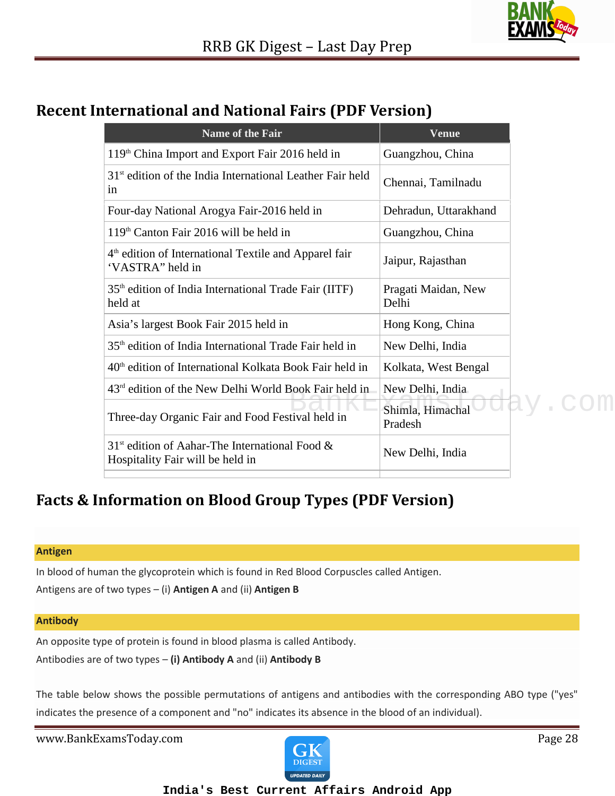

### **Recent International and National Fairs (PDF Version)**

| Name of the Fair                                                                                  | <b>Venue</b>                 |
|---------------------------------------------------------------------------------------------------|------------------------------|
| 119 <sup>th</sup> China Import and Export Fair 2016 held in                                       | Guangzhou, China             |
| 31 <sup>st</sup> edition of the India International Leather Fair held<br>in                       | Chennai, Tamilnadu           |
| Four-day National Arogya Fair-2016 held in                                                        | Dehradun, Uttarakhand        |
| 119 <sup>th</sup> Canton Fair 2016 will be held in                                                | Guangzhou, China             |
| 4 <sup>th</sup> edition of International Textile and Apparel fair<br>'VASTRA" held in             | Jaipur, Rajasthan            |
| 35 <sup>th</sup> edition of India International Trade Fair (IITF)<br>held at                      | Pragati Maidan, New<br>Delhi |
| Asia's largest Book Fair 2015 held in                                                             | Hong Kong, China             |
| 35 <sup>th</sup> edition of India International Trade Fair held in                                | New Delhi, India             |
| 40 <sup>th</sup> edition of International Kolkata Book Fair held in                               | Kolkata, West Bengal         |
| $43rd$ edition of the New Delhi World Book Fair held in                                           | New Delhi, India             |
| Three-day Organic Fair and Food Festival held in                                                  | Shimla, Himachal<br>Pradesh  |
| 31 <sup>st</sup> edition of Aahar-The International Food $\&$<br>Hospitality Fair will be held in | New Delhi, India             |
|                                                                                                   |                              |

### **Facts & Information on Blood Group Types (PDF Version)**

#### **Antigen**

In blood of human the glycoprotein which is found in Red Blood Corpuscles called Antigen.

Antigens are of two types – (i) **Antigen A** and (ii) **Antigen B**

#### **Antibody**

An opposite type of protein is found in blood plasma is called Antibody. Antibodies are of two types – **(i) Antibody A** and (ii) **Antibody B**

The table below shows the possible permutations of antigens and antibodies with the corresponding ABO type ("yes" indicates the presence of a component and "no" indicates its absence in the blood of an individual).

www.BankExamsToday.com **Page 28** 

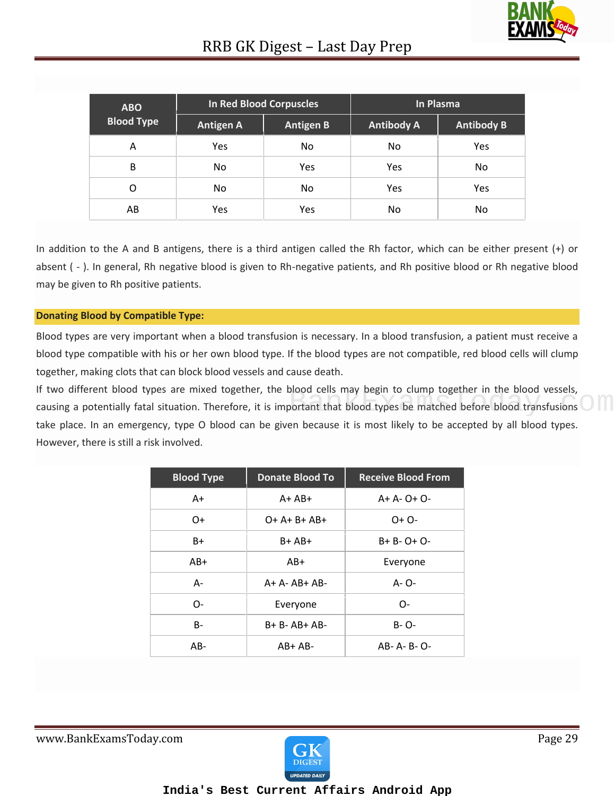

| <b>ABO</b>        | In Red Blood Corpuscles<br><b>Antigen A</b><br><b>Antigen B</b> |     | In Plasma         |                   |
|-------------------|-----------------------------------------------------------------|-----|-------------------|-------------------|
| <b>Blood Type</b> |                                                                 |     | <b>Antibody A</b> | <b>Antibody B</b> |
| А                 | <b>Yes</b>                                                      | No. | No                | Yes               |
| B                 | No                                                              | Yes | Yes               | No                |
| Ω                 | No                                                              | No. | Yes               | Yes               |
| AB                | Yes                                                             | Yes | No.               | No                |

In addition to the A and B antigens, there is a third antigen called the Rh factor, which can be either present (+) or absent ( - ). In general, Rh negative blood is given to Rh-negative patients, and Rh positive blood or Rh negative blood may be given to Rh positive patients.

#### **Donating Blood by Compatible Type:**

Blood types are very important when a blood transfusion is necessary. In a blood transfusion, a patient must receive a blood type compatible with his or her own blood type. If the blood types are not compatible, red blood cells will clump together, making clots that can block blood vessels and cause death.

If two different blood types are mixed together, the blood cells may begin to clump together in the blood vessels, IT two different blood types are mixed together, the blood cells may begin to clump together in the blood vessels,<br>causing a potentially fatal situation. Therefore, it is important that blood types be matched before blood take place. In an emergency, type O blood can be given because it is most likely to be accepted by all blood types. However, there is still a risk involved.

| <b>Blood Type</b> | <b>Donate Blood To</b> | <b>Receive Blood From</b> |
|-------------------|------------------------|---------------------------|
| A+                | $A + AB +$             | $A + A - O + O -$         |
| O+                | $O+ A+ B+ AB+$         | $O + O -$                 |
| $B+$              | $B + AB +$             | B+ B- O+ O-               |
| AB+               | $AB+$                  | Everyone                  |
| $A -$             | $A + A - AB + AB -$    | A- O-                     |
| $O-$              | Everyone               | O-                        |
| B-                | $B + B - AB + AB -$    | B- O-                     |
| $AB -$            | $AB+AB-$               | AB-A-B-O-                 |

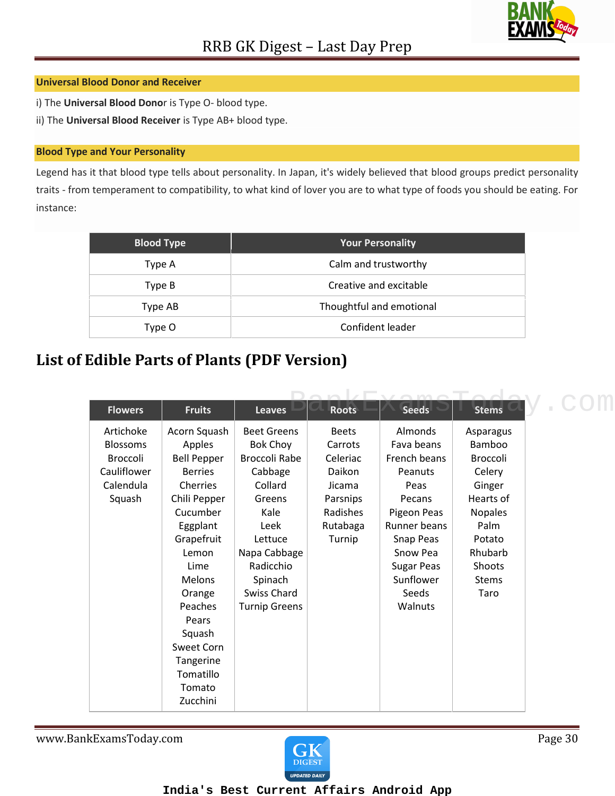

#### **Universal Blood Donor and Receiver**

i) The **Universal Blood Dono**r is Type O- blood type.

ii) The **Universal Blood Receiver** is Type AB+ blood type.

#### **Blood Type and Your Personality**

Legend has it that blood type tells about personality. In Japan, it's widely believed that blood groups predict personality traits - from temperament to compatibility, to what kind of lover you are to what type of foods you should be eating. For instance:

| <b>Blood Type</b> | <b>Your Personality</b>  |
|-------------------|--------------------------|
| Type A            | Calm and trustworthy     |
| Type B            | Creative and excitable   |
| Type AB           | Thoughtful and emotional |
| Type O            | Confident leader         |

### **List of Edible Parts of Plants (PDF Version)**

| <b>Flowers</b>  | <b>Fruits</b>      | <b>Leaves</b>        | <b>Roots</b> | <b>Seeds</b>      | <b>Stems</b>   |  |
|-----------------|--------------------|----------------------|--------------|-------------------|----------------|--|
| Artichoke       | Acorn Squash       | <b>Beet Greens</b>   | <b>Beets</b> | Almonds           | Asparagus      |  |
| <b>Blossoms</b> | Apples             | <b>Bok Choy</b>      | Carrots      | Fava beans        | Bamboo         |  |
| <b>Broccoli</b> | <b>Bell Pepper</b> | <b>Broccoli Rabe</b> | Celeriac     | French beans      | Broccoli       |  |
| Cauliflower     | <b>Berries</b>     | Cabbage              | Daikon       | Peanuts           | Celery         |  |
| Calendula       | Cherries           | Collard              | Jicama       | Peas              | Ginger         |  |
| Squash          | Chili Pepper       | Greens               | Parsnips     | Pecans            | Hearts of      |  |
|                 | Cucumber           | Kale                 | Radishes     | Pigeon Peas       | <b>Nopales</b> |  |
|                 | Eggplant           | Leek                 | Rutabaga     | Runner beans      | Palm           |  |
|                 | Grapefruit         | Lettuce              | Turnip       | Snap Peas         | Potato         |  |
|                 | Lemon              | Napa Cabbage         |              | Snow Pea          | Rhubarb        |  |
|                 | Lime               | Radicchio            |              | <b>Sugar Peas</b> | Shoots         |  |
|                 | <b>Melons</b>      | Spinach              |              | Sunflower         | <b>Stems</b>   |  |
|                 | Orange             | Swiss Chard          |              | Seeds             | Taro           |  |
|                 | Peaches            | <b>Turnip Greens</b> |              | Walnuts           |                |  |
|                 | Pears              |                      |              |                   |                |  |
|                 | Squash             |                      |              |                   |                |  |
|                 | Sweet Corn         |                      |              |                   |                |  |
|                 | Tangerine          |                      |              |                   |                |  |
|                 | Tomatillo          |                      |              |                   |                |  |
|                 | Tomato             |                      |              |                   |                |  |
|                 | Zucchini           |                      |              |                   |                |  |

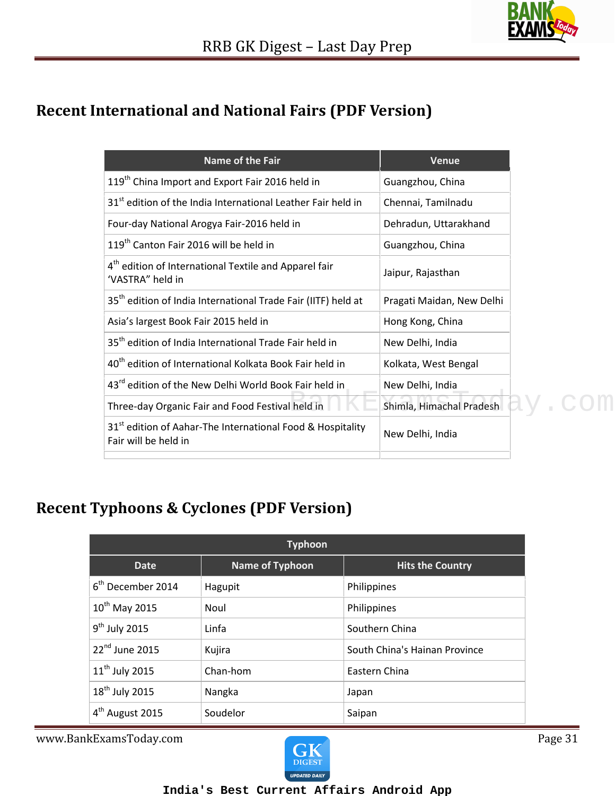

### **Recent International and National Fairs (PDF Version)**

| <b>Name of the Fair</b>                                                                        | <b>Venue</b>              |
|------------------------------------------------------------------------------------------------|---------------------------|
| 119 <sup>th</sup> China Import and Export Fair 2016 held in                                    | Guangzhou, China          |
| 31 <sup>st</sup> edition of the India International Leather Fair held in                       | Chennai, Tamilnadu        |
| Four-day National Arogya Fair-2016 held in                                                     | Dehradun, Uttarakhand     |
| 119 <sup>th</sup> Canton Fair 2016 will be held in                                             | Guangzhou, China          |
| 4 <sup>th</sup> edition of International Textile and Apparel fair<br>'VASTRA" held in          | Jaipur, Rajasthan         |
| 35 <sup>th</sup> edition of India International Trade Fair (IITF) held at                      | Pragati Maidan, New Delhi |
| Asia's largest Book Fair 2015 held in                                                          | Hong Kong, China          |
| 35 <sup>th</sup> edition of India International Trade Fair held in                             | New Delhi, India          |
| 40 <sup>th</sup> edition of International Kolkata Book Fair held in                            | Kolkata, West Bengal      |
| 43 <sup>rd</sup> edition of the New Delhi World Book Fair held in                              | New Delhi, India          |
| Three-day Organic Fair and Food Festival held in                                               | Shimla, Himachal Pradesh  |
| 31 <sup>st</sup> edition of Aahar-The International Food & Hospitality<br>Fair will be held in | New Delhi, India          |
|                                                                                                |                           |

### **Recent Typhoons & Cyclones (PDF Version)**

| <b>Typhoon</b>                |                        |                               |  |  |  |
|-------------------------------|------------------------|-------------------------------|--|--|--|
| Date                          | <b>Name of Typhoon</b> | <b>Hits the Country</b>       |  |  |  |
| 6 <sup>th</sup> December 2014 | Hagupit                | Philippines                   |  |  |  |
| $10^{th}$ May 2015            | Noul                   | Philippines                   |  |  |  |
| $9th$ July 2015               | Linfa                  | Southern China                |  |  |  |
| 22 <sup>nd</sup> June 2015    | Kujira                 | South China's Hainan Province |  |  |  |
| $11th$ July 2015              | Chan-hom               | Eastern China                 |  |  |  |
| 18 <sup>th</sup> July 2015    | Nangka                 | Japan                         |  |  |  |
| 4 <sup>th</sup> August 2015   | Soudelor               | Saipan                        |  |  |  |

www.BankExamsToday.com **Page 31** 

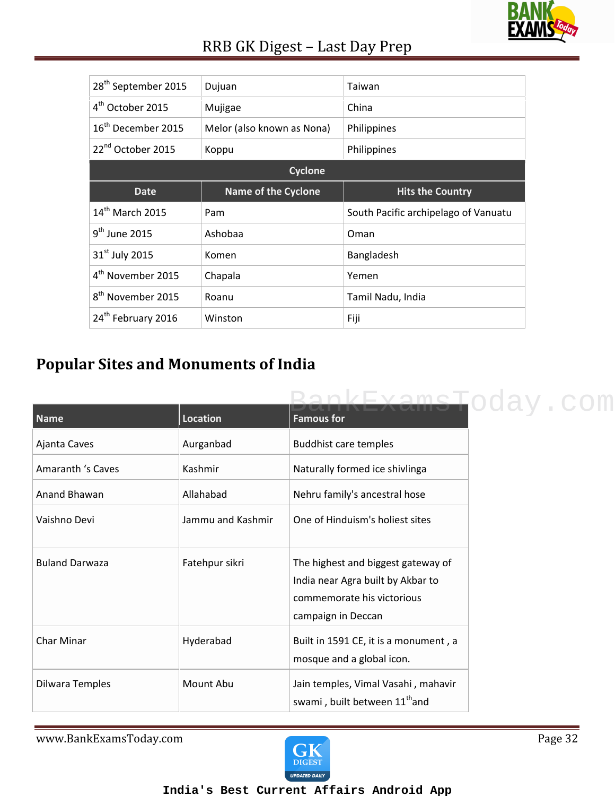

| 28 <sup>th</sup> September 2015 | Dujuan                     | Taiwan                               |  |  |  |
|---------------------------------|----------------------------|--------------------------------------|--|--|--|
| 4 <sup>th</sup> October 2015    | Mujigae                    | China                                |  |  |  |
| 16 <sup>th</sup> December 2015  | Melor (also known as Nona) | Philippines                          |  |  |  |
| 22 <sup>nd</sup> October 2015   | Koppu                      | Philippines                          |  |  |  |
| <b>Cyclone</b>                  |                            |                                      |  |  |  |
|                                 |                            |                                      |  |  |  |
| <b>Date</b>                     | <b>Name of the Cyclone</b> | <b>Hits the Country</b>              |  |  |  |
| $14th$ March 2015               | Pam                        | South Pacific archipelago of Vanuatu |  |  |  |
| $9th$ June 2015                 | Ashobaa                    | Oman                                 |  |  |  |
| 31 <sup>st</sup> July 2015      | Komen                      | Bangladesh                           |  |  |  |
| 4 <sup>th</sup> November 2015   | Chapala                    | Yemen                                |  |  |  |
| 8 <sup>th</sup> November 2015   | Roanu                      | Tamil Nadu, India                    |  |  |  |

### **Popular Sites and Monuments of India**

|                       |                   | pkFxameToday.com                          |
|-----------------------|-------------------|-------------------------------------------|
| Name                  | Location          | <b>Famous for</b>                         |
| Ajanta Caves          | Aurganbad         | Buddhist care temples                     |
| Amaranth 's Caves     | Kashmir           | Naturally formed ice shivlinga            |
| Anand Bhawan          | Allahabad         | Nehru family's ancestral hose             |
| Vaishno Devi          | Jammu and Kashmir | One of Hinduism's holiest sites           |
|                       |                   |                                           |
| <b>Buland Darwaza</b> | Fatehpur sikri    | The highest and biggest gateway of        |
|                       |                   | India near Agra built by Akbar to         |
|                       |                   | commemorate his victorious                |
|                       |                   | campaign in Deccan                        |
| Char Minar            | Hyderabad         | Built in 1591 CE, it is a monument, a     |
|                       |                   | mosque and a global icon.                 |
| Dilwara Temples       | Mount Abu         | Jain temples, Vimal Vasahi, mahavir       |
|                       |                   | swami, built between 11 <sup>th</sup> and |

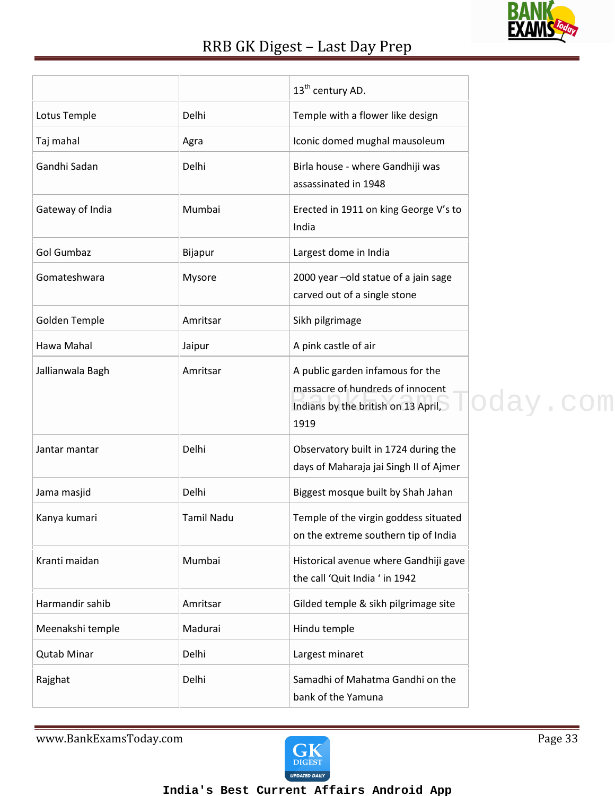

|                    |                   | 13 <sup>th</sup> century AD.                                                                                        |          |
|--------------------|-------------------|---------------------------------------------------------------------------------------------------------------------|----------|
| Lotus Temple       | Delhi             | Temple with a flower like design                                                                                    |          |
| Taj mahal          | Agra              | Iconic domed mughal mausoleum                                                                                       |          |
| Gandhi Sadan       | Delhi             | Birla house - where Gandhiji was<br>assassinated in 1948                                                            |          |
| Gateway of India   | Mumbai            | Erected in 1911 on king George V's to<br>India                                                                      |          |
| <b>Gol Gumbaz</b>  | Bijapur           | Largest dome in India                                                                                               |          |
| Gomateshwara       | Mysore            | 2000 year -old statue of a jain sage<br>carved out of a single stone                                                |          |
| Golden Temple      | Amritsar          | Sikh pilgrimage                                                                                                     |          |
| Hawa Mahal         | Jaipur            | A pink castle of air                                                                                                |          |
| Jallianwala Bagh   | Amritsar          | A public garden infamous for the<br>massacre of hundreds of innocent<br>Indians by the british on 13 April,<br>1919 | oday.com |
| Jantar mantar      | Delhi             | Observatory built in 1724 during the<br>days of Maharaja jai Singh II of Ajmer                                      |          |
| Jama masjid        | Delhi             | Biggest mosque built by Shah Jahan                                                                                  |          |
| Kanya kumari       | <b>Tamil Nadu</b> | Temple of the virgin goddess situated<br>on the extreme southern tip of India                                       |          |
| Kranti maidan      | Mumbai            | Historical avenue where Gandhiji gave<br>the call 'Quit India ' in 1942                                             |          |
| Harmandir sahib    | Amritsar          | Gilded temple & sikh pilgrimage site                                                                                |          |
| Meenakshi temple   | Madurai           | Hindu temple                                                                                                        |          |
| <b>Qutab Minar</b> | Delhi             | Largest minaret                                                                                                     |          |
| Rajghat            | Delhi             | Samadhi of Mahatma Gandhi on the<br>bank of the Yamuna                                                              |          |

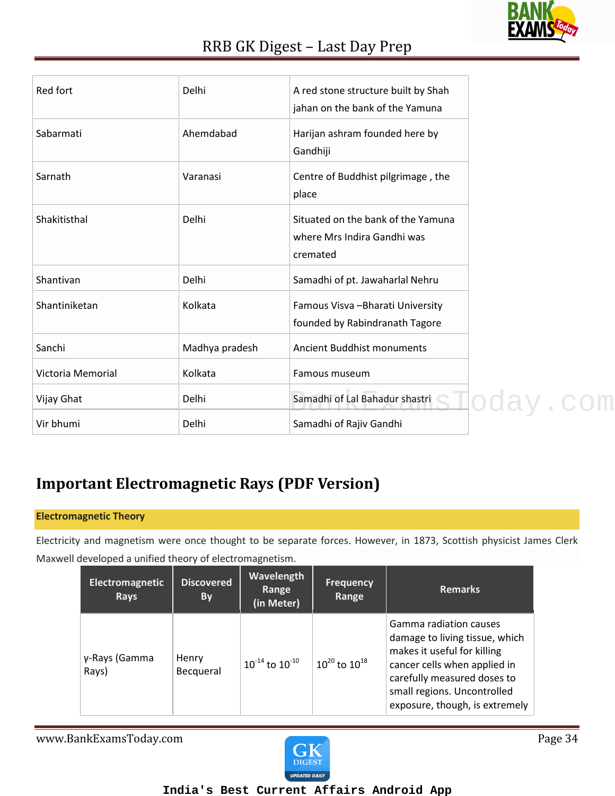

| Red fort          | Delhi          | A red stone structure built by Shah                                           |  |
|-------------------|----------------|-------------------------------------------------------------------------------|--|
|                   |                | jahan on the bank of the Yamuna                                               |  |
| Sabarmati         | Ahemdabad      | Harijan ashram founded here by<br>Gandhiji                                    |  |
| Sarnath           | Varanasi       | Centre of Buddhist pilgrimage, the<br>place                                   |  |
| Shakitisthal      | Delhi          | Situated on the bank of the Yamuna<br>where Mrs Indira Gandhi was<br>cremated |  |
| Shantivan         | Delhi          | Samadhi of pt. Jawaharlal Nehru                                               |  |
| Shantiniketan     | Kolkata        | Famous Visva - Bharati University<br>founded by Rabindranath Tagore           |  |
| Sanchi            | Madhya pradesh | Ancient Buddhist monuments                                                    |  |
| Victoria Memorial | Kolkata        | Famous museum                                                                 |  |
| Vijay Ghat        | Delhi          | Samadhi of Lal Bahadur shastri SHOOay. COM                                    |  |
| Vir bhumi         | Delhi          | Samadhi of Rajiv Gandhi                                                       |  |

### **Important Electromagnetic Rays (PDF Version)**

#### **Electromagnetic Theory**

Electricity and magnetism were once thought to be separate forces. However, in 1873, Scottish physicist James Clerk Maxwell developed a unified theory of electromagnetism.

| Electromagnetic<br><b>Rays</b> | <b>Discovered</b><br>By | Wavelength<br>Range<br>(in Meter) | <b>Frequency</b><br>Range | <b>Remarks</b>                                                                                                                                                                                                          |
|--------------------------------|-------------------------|-----------------------------------|---------------------------|-------------------------------------------------------------------------------------------------------------------------------------------------------------------------------------------------------------------------|
| γ-Rays (Gamma<br>Rays)         | Henry<br>Becqueral      | $10^{-14}$ to $10^{-10}$          | $10^{20}$ to $10^{18}$    | Gamma radiation causes<br>damage to living tissue, which<br>makes it useful for killing<br>cancer cells when applied in<br>carefully measured doses to<br>small regions. Uncontrolled<br>exposure, though, is extremely |

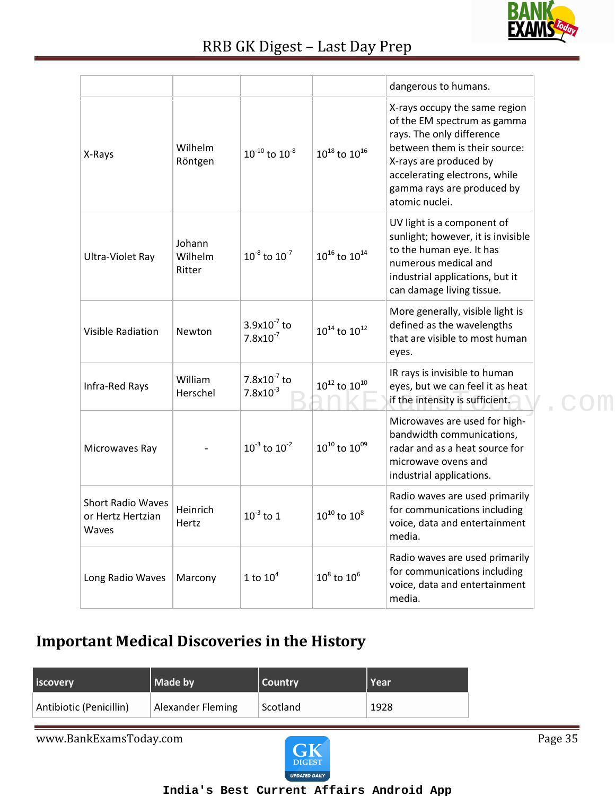

|                                                        |                             |                                   |                                  | dangerous to humans.                                                                                                                                                                                                                  |  |
|--------------------------------------------------------|-----------------------------|-----------------------------------|----------------------------------|---------------------------------------------------------------------------------------------------------------------------------------------------------------------------------------------------------------------------------------|--|
| X-Rays                                                 | Wilhelm<br>Röntgen          | $10^{-10}$ to $10^{-8}$           | $10^{18}$ to $10^{16}$           | X-rays occupy the same region<br>of the EM spectrum as gamma<br>rays. The only difference<br>between them is their source:<br>X-rays are produced by<br>accelerating electrons, while<br>gamma rays are produced by<br>atomic nuclei. |  |
| Ultra-Violet Ray                                       | Johann<br>Wilhelm<br>Ritter | $10^{-8}$ to $10^{-7}$            | $10^{16}$ to $10^{14}$           | UV light is a component of<br>sunlight; however, it is invisible<br>to the human eye. It has<br>numerous medical and<br>industrial applications, but it<br>can damage living tissue.                                                  |  |
| <b>Visible Radiation</b>                               | Newton                      | $3.9x10^{-7}$ to<br>$7.8x10^{-7}$ | $\rm{10^{14}}$ to $\rm{10^{12}}$ | More generally, visible light is<br>defined as the wavelengths<br>that are visible to most human<br>eyes.                                                                                                                             |  |
| Infra-Red Rays                                         | William<br>Herschel         | $7.8x10^{-7}$ to<br>$7.8x10^{-3}$ | $10^{12}$ to $10^{10}$           | IR rays is invisible to human<br>eyes, but we can feel it as heat<br>if the intensity is sufficient.                                                                                                                                  |  |
| Microwaves Ray                                         |                             | $10^{-3}$ to $10^{-2}$            | $10^{10}$ to $10^{09}$           | Microwaves are used for high-<br>bandwidth communications,<br>radar and as a heat source for<br>microwave ovens and<br>industrial applications.                                                                                       |  |
| <b>Short Radio Waves</b><br>or Hertz Hertzian<br>Waves | Heinrich<br>Hertz           | $10^{-3}$ to 1                    | $10^{10}$ to $10^8$              | Radio waves are used primarily<br>for communications including<br>voice, data and entertainment<br>media.                                                                                                                             |  |
| Long Radio Waves                                       | Marcony                     | 1 to $10^4$                       | $10^8$ to $10^6$                 | Radio waves are used primarily<br>for communications including<br>voice, data and entertainment<br>media.                                                                                                                             |  |

### **Important Medical Discoveries in the History**

| iscovery                | Made by                  | Country  | Year |
|-------------------------|--------------------------|----------|------|
| Antibiotic (Penicillin) | <b>Alexander Fleming</b> | Scotland | 1928 |

www.BankExamsToday.com Page 35

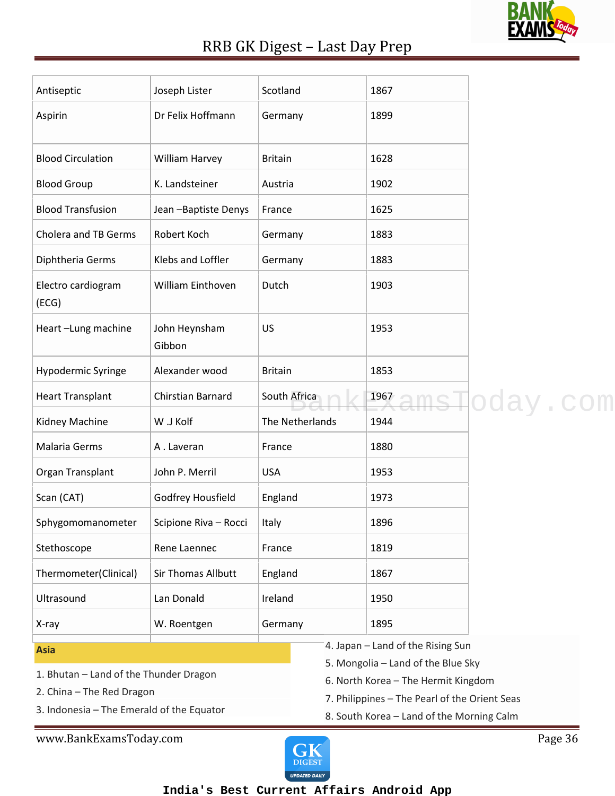

| Antiseptic                                                                                                                      | Joseph Lister           | Scotland       |                 | 1867                                                                                                                                                                                                         |          |
|---------------------------------------------------------------------------------------------------------------------------------|-------------------------|----------------|-----------------|--------------------------------------------------------------------------------------------------------------------------------------------------------------------------------------------------------------|----------|
| Aspirin                                                                                                                         | Dr Felix Hoffmann       | Germany        |                 | 1899                                                                                                                                                                                                         |          |
| <b>Blood Circulation</b>                                                                                                        | William Harvey          | <b>Britain</b> |                 | 1628                                                                                                                                                                                                         |          |
| <b>Blood Group</b>                                                                                                              | K. Landsteiner          | Austria        |                 | 1902                                                                                                                                                                                                         |          |
| <b>Blood Transfusion</b>                                                                                                        | Jean - Baptiste Denys   | France         |                 | 1625                                                                                                                                                                                                         |          |
| Cholera and TB Germs                                                                                                            | Robert Koch             | Germany        |                 | 1883                                                                                                                                                                                                         |          |
| Diphtheria Germs                                                                                                                | Klebs and Loffler       | Germany        |                 | 1883                                                                                                                                                                                                         |          |
| Electro cardiogram<br>(ECG)                                                                                                     | William Einthoven       | Dutch          |                 | 1903                                                                                                                                                                                                         |          |
| Heart-Lung machine                                                                                                              | John Heynsham<br>Gibbon | US             |                 | 1953                                                                                                                                                                                                         |          |
| Hypodermic Syringe                                                                                                              | Alexander wood          | <b>Britain</b> |                 | 1853                                                                                                                                                                                                         |          |
| <b>Heart Transplant</b>                                                                                                         | Chirstian Barnard       | South Africa   |                 | 1967                                                                                                                                                                                                         | oday.com |
| Kidney Machine                                                                                                                  | W .J Kolf               |                | The Netherlands | 1944                                                                                                                                                                                                         |          |
| Malaria Germs                                                                                                                   | A. Laveran              | France         |                 | 1880                                                                                                                                                                                                         |          |
| Organ Transplant                                                                                                                | John P. Merril          | <b>USA</b>     |                 | 1953                                                                                                                                                                                                         |          |
| Scan (CAT)                                                                                                                      | Godfrey Housfield       | England        |                 | 1973                                                                                                                                                                                                         |          |
| Sphygomomanometer                                                                                                               | Scipione Riva - Rocci   | Italy          |                 | 1896                                                                                                                                                                                                         |          |
| Stethoscope                                                                                                                     | Rene Laennec            | France         |                 | 1819                                                                                                                                                                                                         |          |
| Thermometer(Clinical)                                                                                                           | Sir Thomas Allbutt      | England        |                 | 1867                                                                                                                                                                                                         |          |
| Ultrasound                                                                                                                      | Lan Donald              | Ireland        |                 | 1950                                                                                                                                                                                                         |          |
| X-ray                                                                                                                           | W. Roentgen             | Germany        |                 | 1895                                                                                                                                                                                                         |          |
| <b>Asia</b><br>1. Bhutan - Land of the Thunder Dragon<br>2. China - The Red Dragon<br>3. Indonesia - The Emerald of the Equator |                         |                |                 | 4. Japan - Land of the Rising Sun<br>5. Mongolia - Land of the Blue Sky<br>6. North Korea - The Hermit Kingdom<br>7. Philippines - The Pearl of the Orient Seas<br>8. South Korea - Land of the Morning Calm |          |

www.BankExamsToday.com Page 36

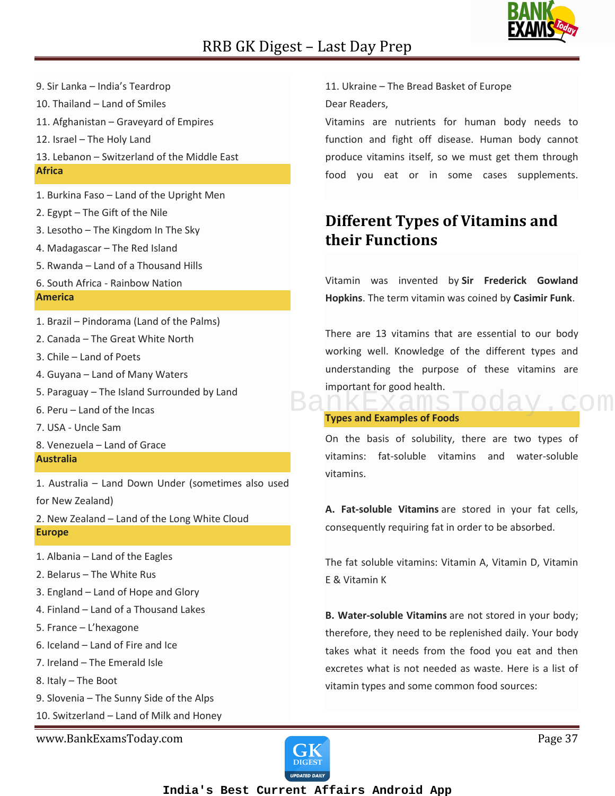

- 9. Sir Lanka India's Teardrop
- 10. Thailand Land of Smiles
- 11. Afghanistan Graveyard of Empires
- 12. Israel The Holy Land
- 13. Lebanon Switzerland of the Middle East **Africa**
- 1. Burkina Faso Land of the Upright Men
- 2. Egypt The Gift of the Nile
- 3. Lesotho The Kingdom In The Sky
- 4. Madagascar The Red Island
- 5. Rwanda Land of a Thousand Hills
- 6. South Africa Rainbow Nation **America**
- 1. Brazil Pindorama (Land of the Palms)
- 2. Canada The Great White North
- 3. Chile Land of Poets
- 4. Guyana Land of Many Waters
- 5. Paraguay The Island Surrounded by Land
- 6. Peru Land of the Incas
- 7. USA Uncle Sam
- 8. Venezuela Land of Grace **Australia**

1. Australia – Land Down Under (sometimes also used for New Zealand)

2. New Zealand – Land of the Long White Cloud **Europe**

- 1. Albania Land of the Eagles
- 2. Belarus The White Rus
- 3. England Land of Hope and Glory
- 4. Finland Land of a Thousand Lakes
- 5. France L'hexagone
- 6. Iceland Land of Fire and Ice
- 7. Ireland The Emerald Isle
- 8. Italy The Boot
- 9. Slovenia The Sunny Side of the Alps
- 10. Switzerland Land of Milk and Honey

www.BankExamsToday.com **Page 37** 

11. Ukraine – The Bread Basket of Europe Dear Readers,

Vitamins are nutrients for human body needs to function and fight off disease. Human body cannot produce vitamins itself, so we must get them through food you eat or in some cases supplements.

### **Different Types of Vitamins and their Functions**

Vitamin was invented by **Sir Frederick Gowland Hopkins**. The term vitamin was coined by **Casimir Funk**.

There are 13 vitamins that are essential to our body working well. Knowledge of the different types and understanding the purpose of these vitamins are important for good health. BankExamsToday.com

#### **Types and Examples of Foods**

On the basis of solubility, there are two types of vitamins: fat-soluble vitamins and water-soluble vitamins.

**A. Fat-soluble Vitamins** are stored in your fat cells, consequently requiring fat in order to be absorbed.

The fat soluble vitamins: Vitamin A, Vitamin D, Vitamin E & Vitamin K

**B. Water-soluble Vitamins** are not stored in your body; therefore, they need to be replenished daily. Your body takes what it needs from the food you eat and then excretes what is not needed as waste. Here is a list of vitamin types and some common food sources:

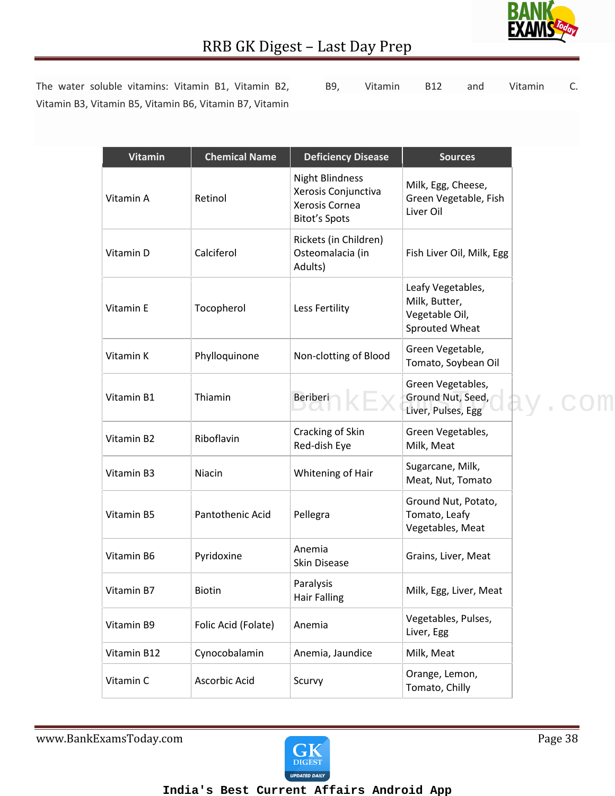

**Vitamin** | Chemical Name | Deficiency Disease | Sources

The water soluble vitamins: Vitamin B1, Vitamin B2, Vitamin B3, Vitamin B5, Vitamin B6, Vitamin B7, Vitamin

B9, Vitamin B12 and Vitamin C.

| B9, | <b>Vitamin</b> | <b>B12</b> | and | Vitamin |
|-----|----------------|------------|-----|---------|
|     |                |            |     |         |

| Retinol             | <b>Night Blindness</b><br>Xerosis Conjunctiva<br>Xerosis Cornea<br><b>Bitot's Spots</b> | Milk, Egg, Cheese,<br>Green Vegetable, Fish<br>Liver Oil               |  |
|---------------------|-----------------------------------------------------------------------------------------|------------------------------------------------------------------------|--|
| Calciferol          | Rickets (in Children)<br>Osteomalacia (in<br>Adults)                                    | Fish Liver Oil, Milk, Egg                                              |  |
| Tocopherol          | Less Fertility                                                                          | Leafy Vegetables,<br>Milk, Butter,<br>Vegetable Oil,<br>Sprouted Wheat |  |
| Phylloquinone       | Non-clotting of Blood                                                                   | Green Vegetable,<br>Tomato, Soybean Oil                                |  |
| Thiamin             | Beriberi                                                                                | Green Vegetables,<br>Ground Nut, Seed,<br>Liver, Pulses, Egg           |  |
| Riboflavin          | Cracking of Skin<br>Red-dish Eye                                                        | Green Vegetables,<br>Milk, Meat                                        |  |
| Niacin              | Whitening of Hair                                                                       | Sugarcane, Milk,<br>Meat, Nut, Tomato                                  |  |
| Pantothenic Acid    | Pellegra                                                                                | Ground Nut, Potato,<br>Tomato, Leafy<br>Vegetables, Meat               |  |
| Pyridoxine          | Anemia<br>Skin Disease                                                                  | Grains, Liver, Meat                                                    |  |
| <b>Biotin</b>       | Paralysis<br><b>Hair Falling</b>                                                        | Milk, Egg, Liver, Meat                                                 |  |
| Folic Acid (Folate) | Anemia                                                                                  | Vegetables, Pulses,<br>Liver, Egg                                      |  |
| Cynocobalamin       | Anemia, Jaundice                                                                        | Milk, Meat                                                             |  |
| Ascorbic Acid       | Scurvy                                                                                  | Orange, Lemon,<br>Tomato, Chilly                                       |  |
|                     |                                                                                         |                                                                        |  |

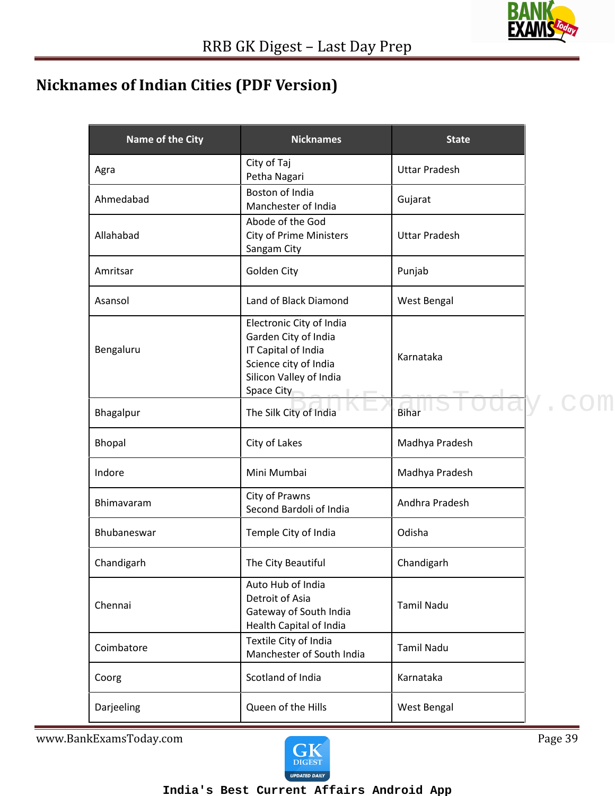### **Nicknames of Indian Cities (PDF Version)**

| Name of the City | <b>Nicknames</b>                                                                                                                          | <b>State</b>         |  |
|------------------|-------------------------------------------------------------------------------------------------------------------------------------------|----------------------|--|
| Agra             | City of Taj<br>Petha Nagari                                                                                                               | <b>Uttar Pradesh</b> |  |
| Ahmedabad        | Boston of India<br>Manchester of India                                                                                                    | Gujarat              |  |
| Allahabad        | Abode of the God<br><b>City of Prime Ministers</b><br>Sangam City                                                                         | <b>Uttar Pradesh</b> |  |
| Amritsar         | Golden City                                                                                                                               | Punjab               |  |
| Asansol          | Land of Black Diamond                                                                                                                     | West Bengal          |  |
| Bengaluru        | Electronic City of India<br>Garden City of India<br>IT Capital of India<br>Science city of India<br>Silicon Valley of India<br>Space City | Karnataka            |  |
| Bhagalpur        | The Silk City of India                                                                                                                    | <b>Bihar</b>         |  |
| Bhopal           | City of Lakes                                                                                                                             | Madhya Pradesh       |  |
| Indore           | Mini Mumbai                                                                                                                               | Madhya Pradesh       |  |
| Bhimavaram       | City of Prawns<br>Second Bardoli of India                                                                                                 | Andhra Pradesh       |  |
| Bhubaneswar      | Temple City of India                                                                                                                      | Odisha               |  |
| Chandigarh       | The City Beautiful                                                                                                                        | Chandigarh           |  |
| Chennai          | Auto Hub of India<br>Detroit of Asia<br>Gateway of South India<br>Health Capital of India                                                 | <b>Tamil Nadu</b>    |  |
| Coimbatore       | Textile City of India<br>Manchester of South India                                                                                        | <b>Tamil Nadu</b>    |  |
| Coorg            | Scotland of India                                                                                                                         | Karnataka            |  |
| Darjeeling       | Queen of the Hills                                                                                                                        | West Bengal          |  |

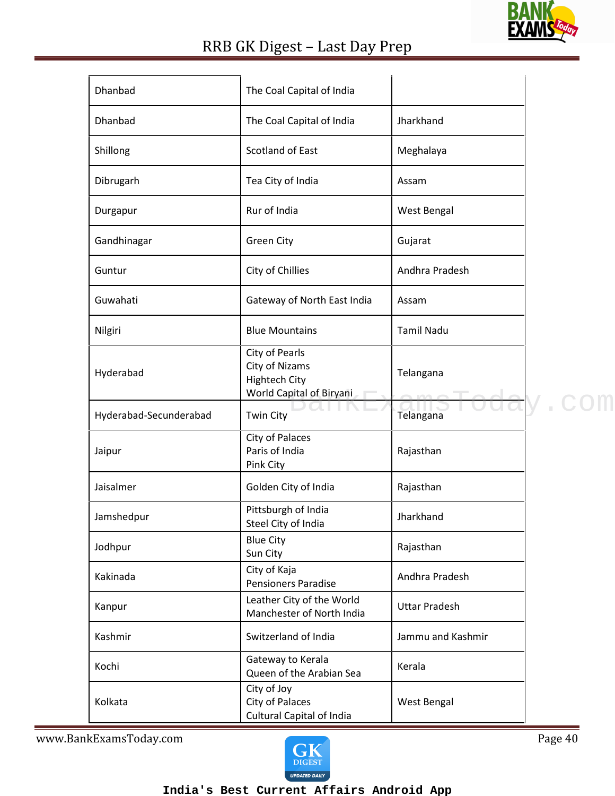

| Dhanbad                | The Coal Capital of India                                                                   |                      |  |
|------------------------|---------------------------------------------------------------------------------------------|----------------------|--|
| Dhanbad                | The Coal Capital of India                                                                   | Jharkhand            |  |
| Shillong               | Scotland of East                                                                            | Meghalaya            |  |
| Dibrugarh              | Tea City of India                                                                           | Assam                |  |
| Durgapur               | Rur of India                                                                                | West Bengal          |  |
| Gandhinagar            | <b>Green City</b>                                                                           | Gujarat              |  |
| Guntur                 | City of Chillies                                                                            | Andhra Pradesh       |  |
| Guwahati               | Gateway of North East India                                                                 | Assam                |  |
| Nilgiri                | <b>Blue Mountains</b>                                                                       | <b>Tamil Nadu</b>    |  |
| Hyderabad              | City of Pearls<br><b>City of Nizams</b><br><b>Hightech City</b><br>World Capital of Biryani | Telangana            |  |
| Hyderabad-Secunderabad | <b>Twin City</b>                                                                            | Telangana            |  |
| Jaipur                 | City of Palaces<br>Paris of India<br>Pink City                                              | Rajasthan            |  |
| Jaisalmer              | Golden City of India                                                                        | Rajasthan            |  |
| Jamshedpur             | Pittsburgh of India<br>Steel City of India                                                  | Jharkhand            |  |
| Jodhpur                | <b>Blue City</b><br>Sun City                                                                | Rajasthan            |  |
| Kakinada               | City of Kaja<br><b>Pensioners Paradise</b>                                                  | Andhra Pradesh       |  |
| Kanpur                 | Leather City of the World<br>Manchester of North India                                      | <b>Uttar Pradesh</b> |  |
| Kashmir                | Switzerland of India                                                                        | Jammu and Kashmir    |  |
| Kochi                  | Gateway to Kerala<br>Queen of the Arabian Sea                                               | Kerala               |  |
|                        | City of Joy                                                                                 |                      |  |

www.BankExamsToday.com Page 40

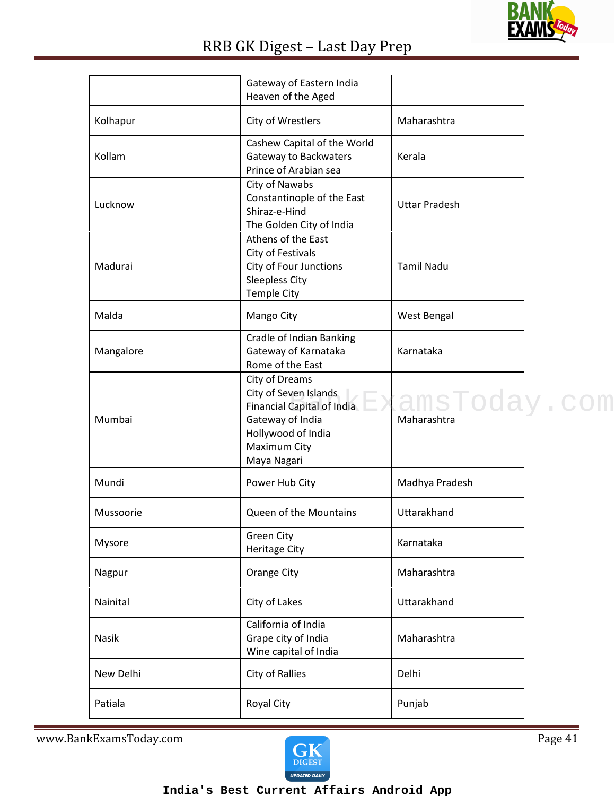

|           | Gateway of Eastern India<br>Heaven of the Aged                                                                                                            |                      |  |
|-----------|-----------------------------------------------------------------------------------------------------------------------------------------------------------|----------------------|--|
| Kolhapur  | City of Wrestlers                                                                                                                                         | Maharashtra          |  |
| Kollam    | Cashew Capital of the World<br>Gateway to Backwaters<br>Prince of Arabian sea                                                                             | Kerala               |  |
| Lucknow   | City of Nawabs<br>Constantinople of the East<br>Shiraz-e-Hind<br>The Golden City of India                                                                 | <b>Uttar Pradesh</b> |  |
| Madurai   | Athens of the East<br>City of Festivals<br>City of Four Junctions<br><b>Sleepless City</b><br><b>Temple City</b>                                          | <b>Tamil Nadu</b>    |  |
| Malda     | Mango City                                                                                                                                                | West Bengal          |  |
| Mangalore | Cradle of Indian Banking<br>Gateway of Karnataka<br>Rome of the East                                                                                      | Karnataka            |  |
| Mumbai    | City of Dreams<br>City of Seven Islands<br>Financial Capital of India EXamsTodal<br>Gateway of India<br>Hollywood of India<br>Maximum City<br>Maya Nagari | Maharashtra          |  |
| Mundi     | Power Hub City                                                                                                                                            | Madhya Pradesh       |  |
| Mussoorie | Queen of the Mountains                                                                                                                                    | Uttarakhand          |  |
| Mysore    | <b>Green City</b><br><b>Heritage City</b>                                                                                                                 | Karnataka            |  |
| Nagpur    | <b>Orange City</b>                                                                                                                                        | Maharashtra          |  |
| Nainital  | City of Lakes                                                                                                                                             | Uttarakhand          |  |
| Nasik     | California of India<br>Grape city of India<br>Wine capital of India                                                                                       | Maharashtra          |  |
| New Delhi | City of Rallies                                                                                                                                           | Delhi                |  |
| Patiala   | <b>Royal City</b>                                                                                                                                         | Punjab               |  |

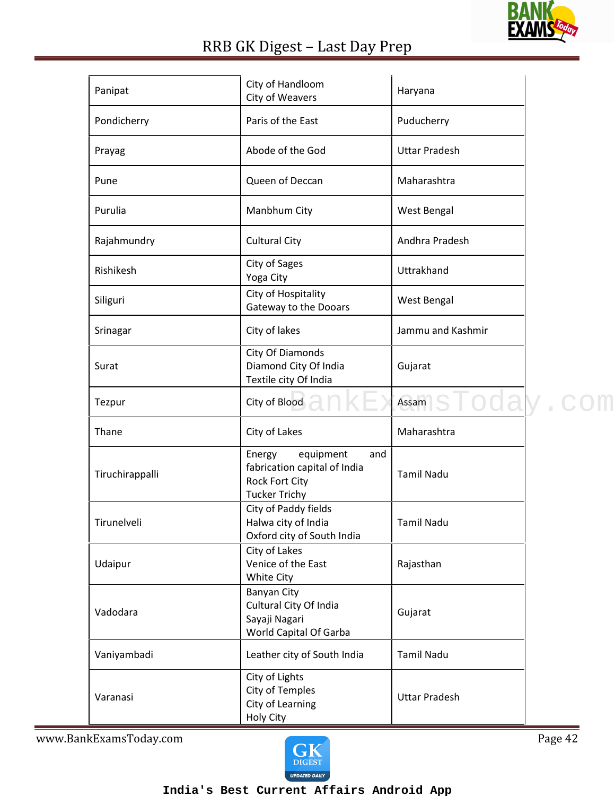

| Panipat         | City of Handloom<br>City of Weavers                                                                         | Haryana                   |  |
|-----------------|-------------------------------------------------------------------------------------------------------------|---------------------------|--|
| Pondicherry     | Paris of the East                                                                                           | Puducherry                |  |
| Prayag          | Abode of the God                                                                                            | <b>Uttar Pradesh</b>      |  |
| Pune            | Queen of Deccan                                                                                             | Maharashtra               |  |
| Purulia         | Manbhum City                                                                                                | West Bengal               |  |
| Rajahmundry     | <b>Cultural City</b>                                                                                        | Andhra Pradesh            |  |
| Rishikesh       | City of Sages<br>Yoga City                                                                                  | Uttrakhand                |  |
| Siliguri        | City of Hospitality<br>Gateway to the Dooars                                                                | West Bengal               |  |
| Srinagar        | City of lakes                                                                                               | Jammu and Kashmir         |  |
| Surat           | City Of Diamonds<br>Diamond City Of India<br>Textile city Of India                                          | Gujarat                   |  |
| Tezpur          | City of Blood                                                                                               | Assam <sub>1</sub> SToday |  |
| Thane           | City of Lakes                                                                                               | Maharashtra               |  |
| Tiruchirappalli | equipment<br>Energy<br>and<br>fabrication capital of India<br><b>Rock Fort City</b><br><b>Tucker Trichy</b> | <b>Tamil Nadu</b>         |  |
| Tirunelveli     | City of Paddy fields<br>Halwa city of India<br>Oxford city of South India                                   | <b>Tamil Nadu</b>         |  |
| Udaipur         | City of Lakes<br>Venice of the East<br>White City                                                           | Rajasthan                 |  |
| Vadodara        | Banyan City<br>Cultural City Of India<br>Sayaji Nagari<br>World Capital Of Garba                            | Gujarat                   |  |
| Vaniyambadi     | Leather city of South India                                                                                 | <b>Tamil Nadu</b>         |  |
| Varanasi        | City of Lights<br><b>City of Temples</b><br>City of Learning<br>Holy City                                   | <b>Uttar Pradesh</b>      |  |

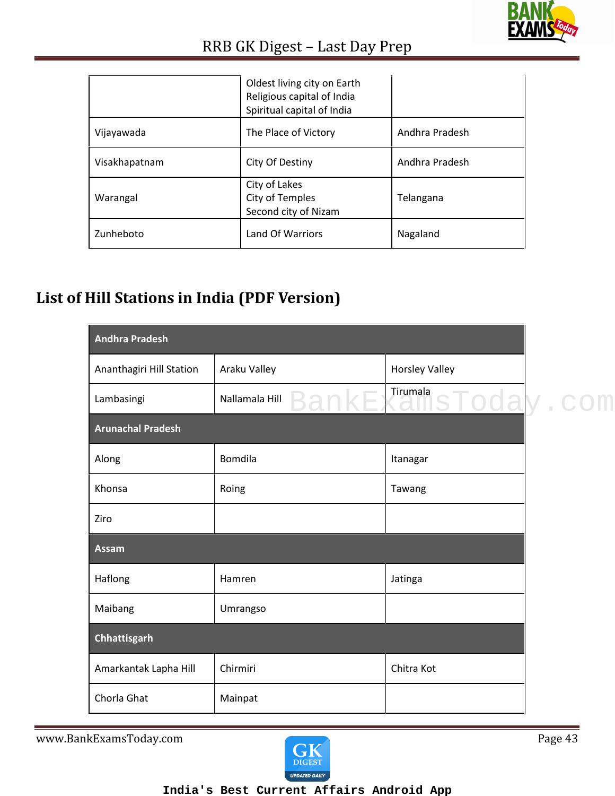

|               | Oldest living city on Earth<br>Religious capital of India<br>Spiritual capital of India |                |
|---------------|-----------------------------------------------------------------------------------------|----------------|
| Vijayawada    | The Place of Victory                                                                    | Andhra Pradesh |
| Visakhapatnam | City Of Destiny                                                                         | Andhra Pradesh |
| Warangal      | City of Lakes<br>City of Temples<br>Second city of Nizam                                | Telangana      |
| Zunheboto     | Land Of Warriors                                                                        | Nagaland       |

### **List of Hill Stations in India (PDF Version)**

| <b>Andhra Pradesh</b>    |                |                       |  |
|--------------------------|----------------|-----------------------|--|
| Ananthagiri Hill Station | Araku Valley   | <b>Horsley Valley</b> |  |
| Lambasingi               | Nallamala Hill | BankExamsToday.c      |  |
| <b>Arunachal Pradesh</b> |                |                       |  |
| Along                    | Bomdila        | Itanagar              |  |
| Khonsa                   | Roing          | Tawang                |  |
| Ziro                     |                |                       |  |
| <b>Assam</b>             |                |                       |  |
| Haflong                  | Hamren         | Jatinga               |  |
| Maibang                  | Umrangso       |                       |  |
| Chhattisgarh             |                |                       |  |
| Amarkantak Lapha Hill    | Chirmiri       | Chitra Kot            |  |
| Chorla Ghat              | Mainpat        |                       |  |

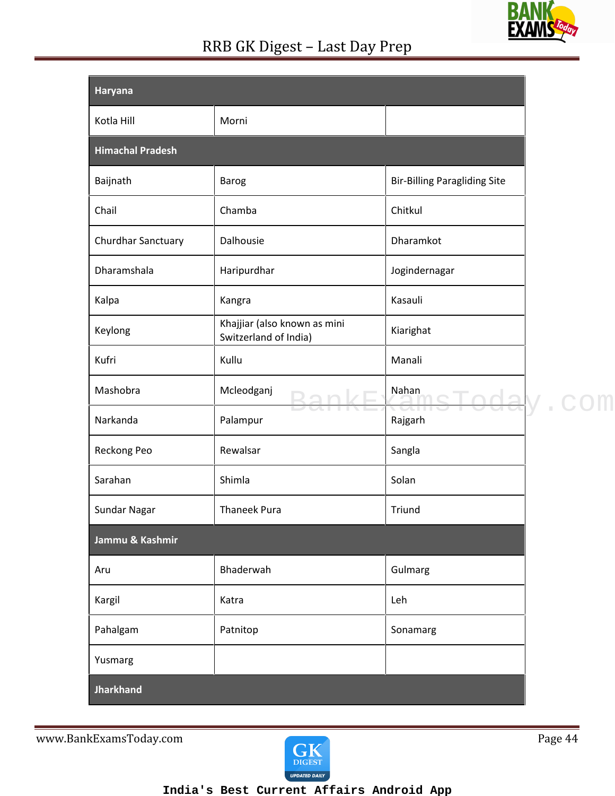| <b>Griton</b><br>XAM<br>N<br>47 |  |
|---------------------------------|--|

| Haryana                 |                                                       |                                     |
|-------------------------|-------------------------------------------------------|-------------------------------------|
| Kotla Hill              | Morni                                                 |                                     |
| <b>Himachal Pradesh</b> |                                                       |                                     |
| Baijnath                | Barog                                                 | <b>Bir-Billing Paragliding Site</b> |
| Chail                   | Chamba                                                | Chitkul                             |
| Churdhar Sanctuary      | Dalhousie                                             | Dharamkot                           |
| Dharamshala             | Haripurdhar                                           | Jogindernagar                       |
| Kalpa                   | Kangra                                                | Kasauli                             |
| Keylong                 | Khajjiar (also known as mini<br>Switzerland of India) | Kiarighat                           |
| Kufri                   | Kullu                                                 | Manali                              |
| Mashobra                | Mcleodganj                                            | Nahan                               |
| Narkanda                | Palampur                                              | Rajgarh                             |
| Reckong Peo             | Rewalsar                                              | Sangla                              |
| Sarahan                 | Shimla                                                | Solan                               |
| Sundar Nagar            | <b>Thaneek Pura</b>                                   | Triund                              |
| Jammu & Kashmir         |                                                       |                                     |
| Aru                     | Bhaderwah                                             | Gulmarg                             |
| Kargil                  | Katra                                                 | Leh                                 |
| Pahalgam                | Patnitop                                              | Sonamarg                            |
| Yusmarg                 |                                                       |                                     |
| <b>Jharkhand</b>        |                                                       |                                     |

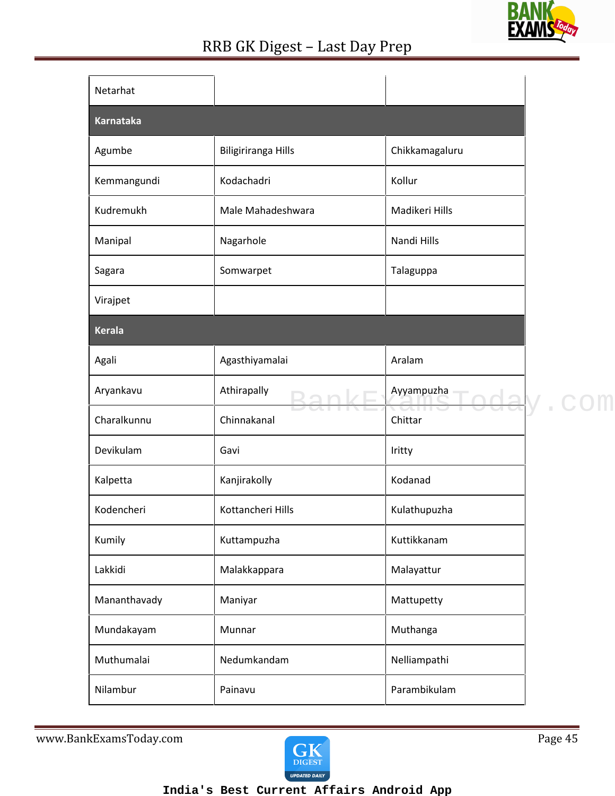

| Netarhat         |                            |                |  |
|------------------|----------------------------|----------------|--|
| <b>Karnataka</b> |                            |                |  |
| Agumbe           | <b>Biligiriranga Hills</b> | Chikkamagaluru |  |
| Kemmangundi      | Kodachadri                 | Kollur         |  |
| Kudremukh        | Male Mahadeshwara          | Madikeri Hills |  |
| Manipal          | Nagarhole                  | Nandi Hills    |  |
| Sagara           | Somwarpet                  | Talaguppa      |  |
| Virajpet         |                            |                |  |
| <b>Kerala</b>    |                            |                |  |
| Agali            | Agasthiyamalai             | Aralam         |  |
| Aryankavu        | Athirapally                | Ayyampuzha     |  |
| Charalkunnu      | Chinnakanal                | Chittar        |  |
| Devikulam        | Gavi                       | Iritty         |  |
| Kalpetta         | Kanjirakolly               | Kodanad        |  |
| Kodencheri       | Kottancheri Hills          | Kulathupuzha   |  |
| Kumily           | Kuttampuzha                | Kuttikkanam    |  |
| Lakkidi          | Malakkappara               | Malayattur     |  |
| Mananthavady     | Maniyar                    | Mattupetty     |  |
| Mundakayam       | Munnar                     | Muthanga       |  |
| Muthumalai       | Nedumkandam                | Nelliampathi   |  |
| Nilambur         | Painavu                    | Parambikulam   |  |

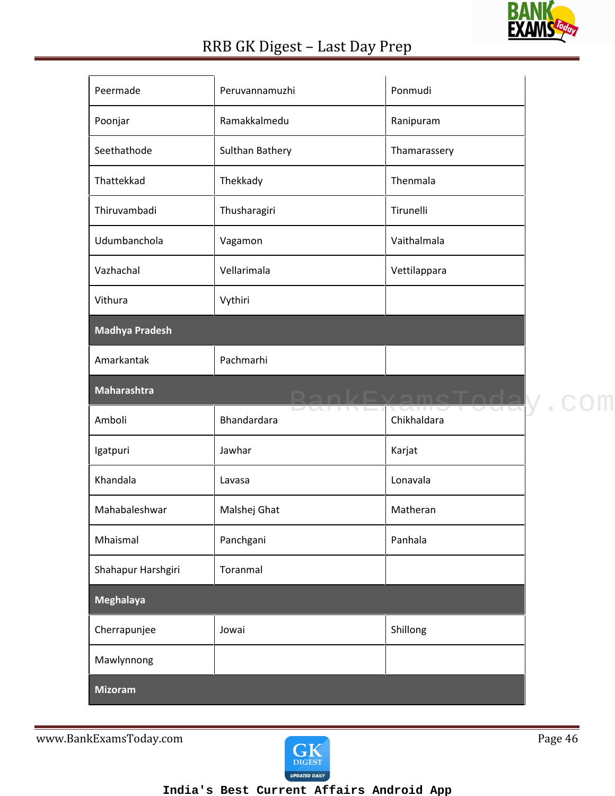

| Peermade              | Peruvannamuzhi                | Ponmudi       |  |
|-----------------------|-------------------------------|---------------|--|
| Poonjar               | Ramakkalmedu                  | Ranipuram     |  |
| Seethathode           | Sulthan Bathery               | Thamarassery  |  |
| Thattekkad            | Thekkady                      | Thenmala      |  |
| Thiruvambadi          | Thusharagiri                  | Tirunelli     |  |
| Udumbanchola          | Vagamon                       | Vaithalmala   |  |
| Vazhachal             | Vellarimala                   | Vettilappara  |  |
| Vithura               | Vythiri                       |               |  |
| <b>Madhya Pradesh</b> |                               |               |  |
| Amarkantak            | Pachmarhi                     |               |  |
| Maharashtra           |                               | BankExamsToda |  |
| Amboli                | <u>Daiilti</u><br>Bhandardara | Chikhaldara   |  |
| Igatpuri              | Jawhar                        | Karjat        |  |
| Khandala              | Lavasa                        | Lonavala      |  |
| Mahabaleshwar         | Malshej Ghat                  | Matheran      |  |
| Mhaismal              | Panchgani                     | Panhala       |  |
| Shahapur Harshgiri    | Toranmal                      |               |  |
| Meghalaya             |                               |               |  |
|                       |                               |               |  |
| Cherrapunjee          | Jowai                         | Shillong      |  |
| Mawlynnong            |                               |               |  |

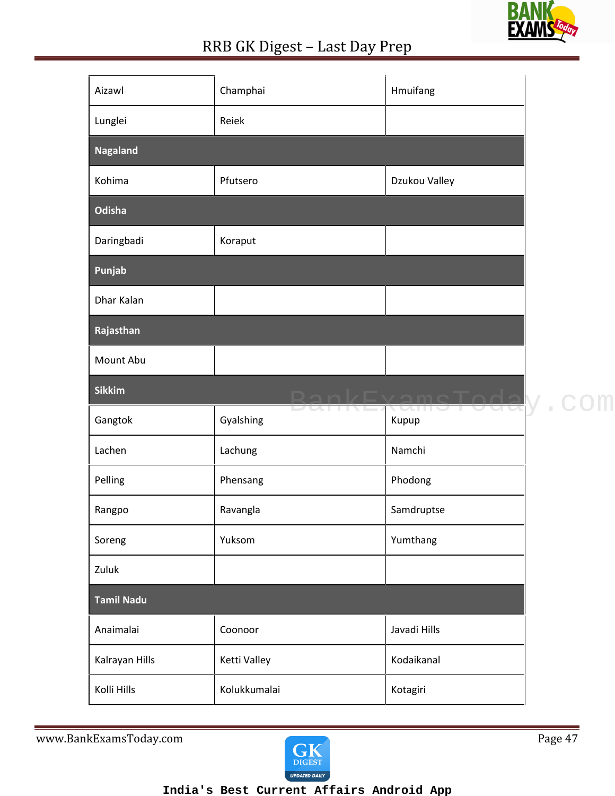

| Aizawl            | Champhai             | Hmuifang        |  |
|-------------------|----------------------|-----------------|--|
| Lunglei           | Reiek                |                 |  |
| <b>Nagaland</b>   |                      |                 |  |
| Kohima            | Pfutsero             | Dzukou Valley   |  |
| Odisha            |                      |                 |  |
| Daringbadi        | Koraput              |                 |  |
| Punjab            |                      |                 |  |
| Dhar Kalan        |                      |                 |  |
| Rajasthan         |                      |                 |  |
| Mount Abu         |                      |                 |  |
| <b>Sikkim</b>     |                      | RankFvamaTor    |  |
| Gangtok           | DUITITI<br>Gyalshing | ZOLLIC<br>Kupup |  |
| Lachen            | Lachung              | Namchi          |  |
|                   |                      |                 |  |
| Pelling           | Phensang             | Phodong         |  |
| Rangpo            | Ravangla             | Samdruptse      |  |
| Soreng            | Yuksom               | Yumthang        |  |
| Zuluk             |                      |                 |  |
| <b>Tamil Nadu</b> |                      |                 |  |
| Anaimalai         | Coonoor              | Javadi Hills    |  |
| Kalrayan Hills    | Ketti Valley         | Kodaikanal      |  |

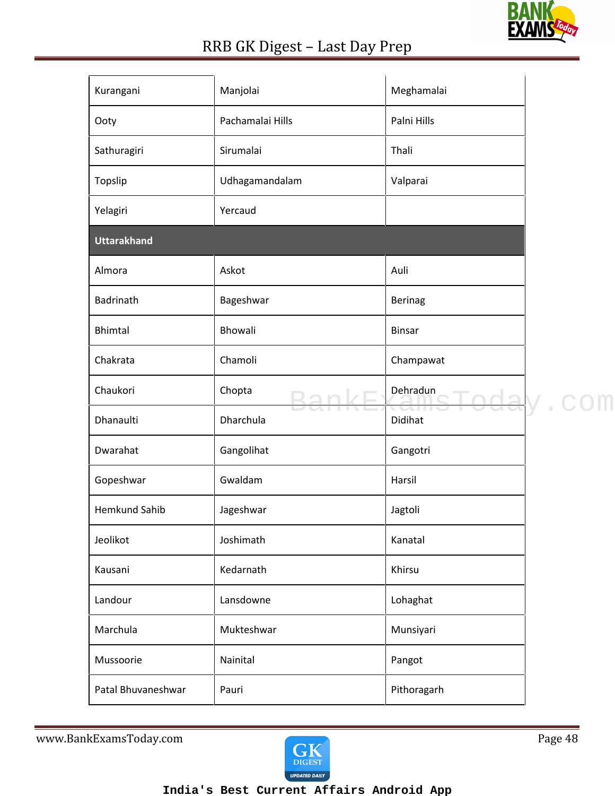

| Kurangani            | Manjolai         | Meghamalai              |  |
|----------------------|------------------|-------------------------|--|
| Ooty                 | Pachamalai Hills | Palni Hills             |  |
| Sathuragiri          | Sirumalai        | Thali                   |  |
| Topslip              | Udhagamandalam   | Valparai                |  |
| Yelagiri             | Yercaud          |                         |  |
| <b>Uttarakhand</b>   |                  |                         |  |
| Almora               | Askot            | Auli                    |  |
| Badrinath            | Bageshwar        | Berinag                 |  |
| <b>Bhimtal</b>       | Bhowali          | <b>Binsar</b>           |  |
| Chakrata             | Chamoli          | Champawat               |  |
| Chaukori             | Chopta           | Dehradun<br>$\sim$ mode |  |
| Dhanaulti            | Dharchula        | 50.TT<br>Didihat        |  |
| Dwarahat             | Gangolihat       | Gangotri                |  |
| Gopeshwar            | Gwaldam          | Harsil                  |  |
| <b>Hemkund Sahib</b> | Jageshwar        | Jagtoli                 |  |
| Jeolikot             | Joshimath        | Kanatal                 |  |
| Kausani              | Kedarnath        | Khirsu                  |  |
| Landour              | Lansdowne        | Lohaghat                |  |
| Marchula             | Mukteshwar       | Munsiyari               |  |
| Mussoorie            | Nainital         | Pangot                  |  |
| Patal Bhuvaneshwar   | Pauri            | Pithoragarh             |  |

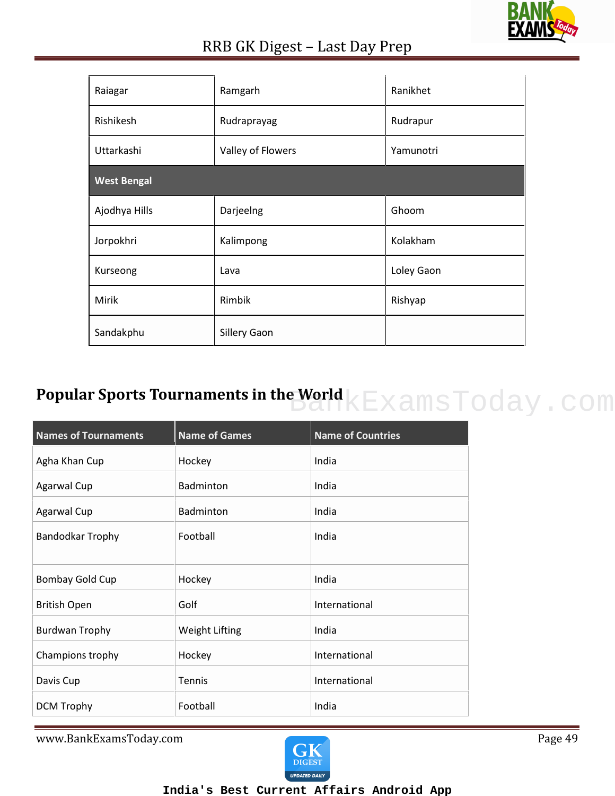

| Raiagar            | Ramgarh           | Ranikhet   |
|--------------------|-------------------|------------|
| Rishikesh          | Rudraprayag       | Rudrapur   |
| Uttarkashi         | Valley of Flowers | Yamunotri  |
| <b>West Bengal</b> |                   |            |
| Ajodhya Hills      | Darjeelng         | Ghoom      |
| Jorpokhri          | Kalimpong         | Kolakham   |
| Kurseong           | Lava              | Loley Gaon |
| Mirik              | Rimbik            | Rishyap    |
| Sandakphu          | Sillery Gaon      |            |

# **Popular Sports Tournaments in the World REXAMSToday.com**

| <b>Names of Tournaments</b> | <b>Name of Games</b>  | <b>Name of Countries</b> |
|-----------------------------|-----------------------|--------------------------|
| Agha Khan Cup               | Hockey                | India                    |
| <b>Agarwal Cup</b>          | <b>Badminton</b>      | India                    |
| <b>Agarwal Cup</b>          | <b>Badminton</b>      | India                    |
| <b>Bandodkar Trophy</b>     | Football              | India                    |
| Bombay Gold Cup             | Hockey                | India                    |
| <b>British Open</b>         | Golf                  | International            |
| <b>Burdwan Trophy</b>       | <b>Weight Lifting</b> | India                    |
| Champions trophy            | Hockey                | International            |
| Davis Cup                   | Tennis                | International            |
| <b>DCM Trophy</b>           | Football              | India                    |

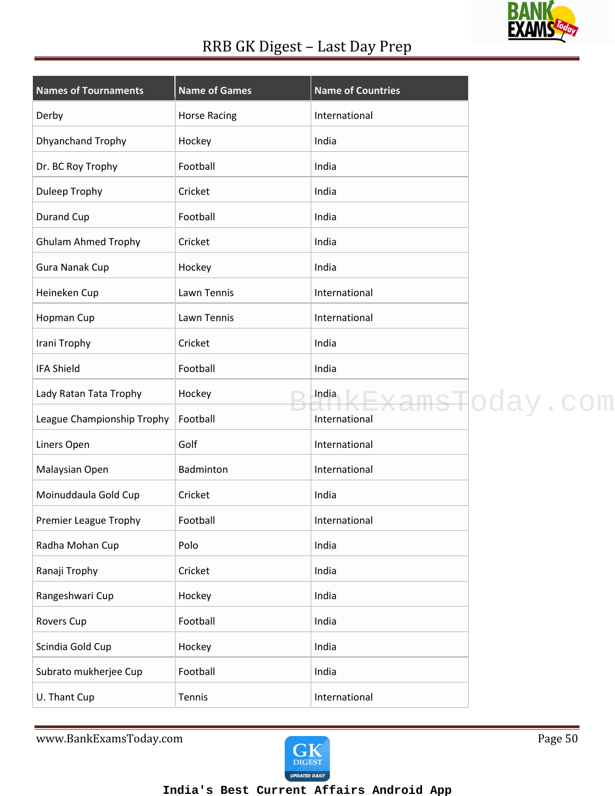### **BANK** <u>EXA</u>

### RRB GK Digest – Last Day Prep

| <b>Names of Tournaments</b> | <b>Name of Games</b> | <b>Name of Countries</b> |                          |
|-----------------------------|----------------------|--------------------------|--------------------------|
| Derby                       | <b>Horse Racing</b>  | International            |                          |
| Dhyanchand Trophy           | Hockey               | India                    |                          |
| Dr. BC Roy Trophy           | Football             | India                    |                          |
| Duleep Trophy               | Cricket              | India                    |                          |
| Durand Cup                  | Football             | India                    |                          |
| <b>Ghulam Ahmed Trophy</b>  | Cricket              | India                    |                          |
| <b>Gura Nanak Cup</b>       | Hockey               | India                    |                          |
| Heineken Cup                | Lawn Tennis          | International            |                          |
| Hopman Cup                  | Lawn Tennis          | International            |                          |
| Irani Trophy                | Cricket              | India                    |                          |
| <b>IFA Shield</b>           | Football             | India                    |                          |
| Lady Ratan Tata Trophy      | Hockey               | India                    | <del>.msT</del> oday.com |
| League Championship Trophy  | Football             | International            |                          |
| Liners Open                 | Golf                 | International            |                          |
| Malaysian Open              | Badminton            | International            |                          |
| Moinuddaula Gold Cup        | Cricket              | India                    |                          |
| Premier League Trophy       | Football             | International            |                          |
| Radha Mohan Cup             | Polo                 | India                    |                          |
| Ranaji Trophy               | Cricket              | India                    |                          |
| Rangeshwari Cup             | Hockey               | India                    |                          |
| Rovers Cup                  | Football             | India                    |                          |
| Scindia Gold Cup            | Hockey               | India                    |                          |
| Subrato mukherjee Cup       | Football             | India                    |                          |
| U. Thant Cup                | Tennis               | International            |                          |

www.BankExamsToday.com Page 50